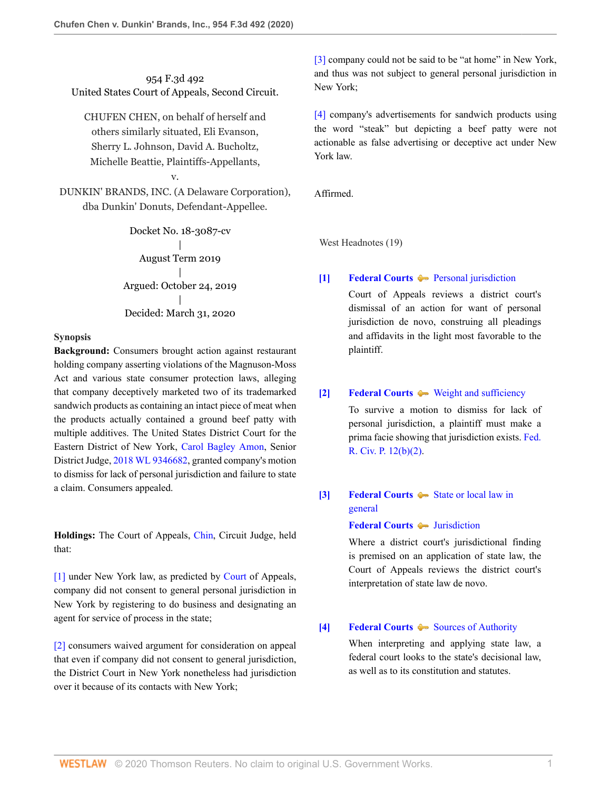954 F.3d 492 United States Court of Appeals, Second Circuit.

CHUFEN CHEN, on behalf of herself and others similarly situated, Eli Evanson, Sherry L. Johnson, David A. Bucholtz, Michelle Beattie, Plaintiffs-Appellants,

DUNKIN' BRANDS, INC. (A Delaware Corporation), dba Dunkin' Donuts, Defendant-Appellee.

v.

Docket No. 18-3087-cv | August Term 2019 | Argued: October 24, 2019 | Decided: March 31, 2020

#### **Synopsis**

**Background:** Consumers brought action against restaurant holding company asserting violations of the Magnuson-Moss Act and various state consumer protection laws, alleging that company deceptively marketed two of its trademarked sandwich products as containing an intact piece of meat when the products actually contained a ground beef patty with multiple additives. The United States District Court for the Eastern District of New York, [Carol Bagley Amon,](http://www.westlaw.com/Link/Document/FullText?findType=h&pubNum=176284&cite=0148715101&originatingDoc=I53417de0738f11ea99df8ae889484d86&refType=RQ&originationContext=document&vr=3.0&rs=cblt1.0&transitionType=DocumentItem&contextData=(sc.UserEnteredCitation)) Senior District Judge, [2018 WL 9346682](http://www.westlaw.com/Link/Document/FullText?findType=Y&serNum=2048890247&pubNum=0000999&originatingDoc=I53417de0738f11ea99df8ae889484d86&refType=RP&originationContext=document&vr=3.0&rs=cblt1.0&transitionType=DocumentItem&contextData=(sc.UserEnteredCitation)), granted company's motion to dismiss for lack of personal jurisdiction and failure to state a claim. Consumers appealed.

**Holdings:** The Court of Appeals, [Chin,](http://www.westlaw.com/Link/Document/FullText?findType=h&pubNum=176284&cite=0108604601&originatingDoc=I53417de0738f11ea99df8ae889484d86&refType=RQ&originationContext=document&vr=3.0&rs=cblt1.0&transitionType=DocumentItem&contextData=(sc.UserEnteredCitation)) Circuit Judge, held that:

[\[1\]](#page-1-0) under New York law, as predicted by [Court](http://www.westlaw.com/Link/Document/FullText?findType=h&pubNum=176284&cite=0251642801&originatingDoc=I53417de0738f11ea99df8ae889484d86&refType=RQ&originationContext=document&vr=3.0&rs=cblt1.0&transitionType=DocumentItem&contextData=(sc.UserEnteredCitation)) of Appeals, company did not consent to general personal jurisdiction in New York by registering to do business and designating an agent for service of process in the state;

[\[2\]](#page-1-1) consumers waived argument for consideration on appeal that even if company did not consent to general jurisdiction, the District Court in New York nonetheless had jurisdiction over it because of its contacts with New York;

[\[3\]](#page-1-2) company could not be said to be "at home" in New York, and thus was not subject to general personal jurisdiction in New York;

[\[4\]](#page-2-0) company's advertisements for sandwich products using the word "steak" but depicting a beef patty were not actionable as false advertising or deceptive act under New York law.

Affirmed.

West Headnotes (19)

#### <span id="page-0-0"></span>**[\[1\]](#page-4-0) [Federal Courts](http://www.westlaw.com/Browse/Home/KeyNumber/170B/View.html?docGuid=I53417de0738f11ea99df8ae889484d86&originationContext=document&vr=3.0&rs=cblt1.0&transitionType=DocumentItem&contextData=(sc.UserEnteredCitation)) [Personal jurisdiction](http://www.westlaw.com/Browse/Home/KeyNumber/170Bk3581(4)/View.html?docGuid=I53417de0738f11ea99df8ae889484d86&originationContext=document&vr=3.0&rs=cblt1.0&transitionType=DocumentItem&contextData=(sc.UserEnteredCitation))**

Court of Appeals reviews a district court's dismissal of an action for want of personal jurisdiction de novo, construing all pleadings and affidavits in the light most favorable to the plaintiff.

#### <span id="page-0-1"></span>**[\[2\]](#page-4-1) [Federal Courts](http://www.westlaw.com/Browse/Home/KeyNumber/170B/View.html?docGuid=I53417de0738f11ea99df8ae889484d86&originationContext=document&vr=3.0&rs=cblt1.0&transitionType=DocumentItem&contextData=(sc.UserEnteredCitation))**  $\blacktriangleright$  [Weight and sufficiency](http://www.westlaw.com/Browse/Home/KeyNumber/170Bk2792/View.html?docGuid=I53417de0738f11ea99df8ae889484d86&originationContext=document&vr=3.0&rs=cblt1.0&transitionType=DocumentItem&contextData=(sc.UserEnteredCitation))

To survive a motion to dismiss for lack of personal jurisdiction, a plaintiff must make a prima facie showing that jurisdiction exists. [Fed.](http://www.westlaw.com/Link/Document/FullText?findType=L&pubNum=1000600&cite=USFRCPR12&originatingDoc=I53417de0738f11ea99df8ae889484d86&refType=LQ&originationContext=document&vr=3.0&rs=cblt1.0&transitionType=DocumentItem&contextData=(sc.UserEnteredCitation)) [R. Civ. P. 12\(b\)\(2\).](http://www.westlaw.com/Link/Document/FullText?findType=L&pubNum=1000600&cite=USFRCPR12&originatingDoc=I53417de0738f11ea99df8ae889484d86&refType=LQ&originationContext=document&vr=3.0&rs=cblt1.0&transitionType=DocumentItem&contextData=(sc.UserEnteredCitation))

<span id="page-0-2"></span>**[\[3\]](#page-4-2) [Federal Courts](http://www.westlaw.com/Browse/Home/KeyNumber/170B/View.html?docGuid=I53417de0738f11ea99df8ae889484d86&originationContext=document&vr=3.0&rs=cblt1.0&transitionType=DocumentItem&contextData=(sc.UserEnteredCitation))**  $\blacklozenge$  **[State or local law in](http://www.westlaw.com/Browse/Home/KeyNumber/170Bk3568/View.html?docGuid=I53417de0738f11ea99df8ae889484d86&originationContext=document&vr=3.0&rs=cblt1.0&transitionType=DocumentItem&contextData=(sc.UserEnteredCitation))** [general](http://www.westlaw.com/Browse/Home/KeyNumber/170Bk3568/View.html?docGuid=I53417de0738f11ea99df8ae889484d86&originationContext=document&vr=3.0&rs=cblt1.0&transitionType=DocumentItem&contextData=(sc.UserEnteredCitation))

### **[Federal Courts](http://www.westlaw.com/Browse/Home/KeyNumber/170B/View.html?docGuid=I53417de0738f11ea99df8ae889484d86&originationContext=document&vr=3.0&rs=cblt1.0&transitionType=DocumentItem&contextData=(sc.UserEnteredCitation))** [Jurisdiction](http://www.westlaw.com/Browse/Home/KeyNumber/170Bk3581/View.html?docGuid=I53417de0738f11ea99df8ae889484d86&originationContext=document&vr=3.0&rs=cblt1.0&transitionType=DocumentItem&contextData=(sc.UserEnteredCitation))

Where a district court's jurisdictional finding is premised on an application of state law, the Court of Appeals reviews the district court's interpretation of state law de novo.

### <span id="page-0-3"></span>**[\[4\]](#page-4-3) [Federal Courts](http://www.westlaw.com/Browse/Home/KeyNumber/170B/View.html?docGuid=I53417de0738f11ea99df8ae889484d86&originationContext=document&vr=3.0&rs=cblt1.0&transitionType=DocumentItem&contextData=(sc.UserEnteredCitation))**  $\bullet$  [Sources of Authority](http://www.westlaw.com/Browse/Home/KeyNumber/170Bk3006/View.html?docGuid=I53417de0738f11ea99df8ae889484d86&originationContext=document&vr=3.0&rs=cblt1.0&transitionType=DocumentItem&contextData=(sc.UserEnteredCitation))

When interpreting and applying state law, a federal court looks to the state's decisional law, as well as to its constitution and statutes.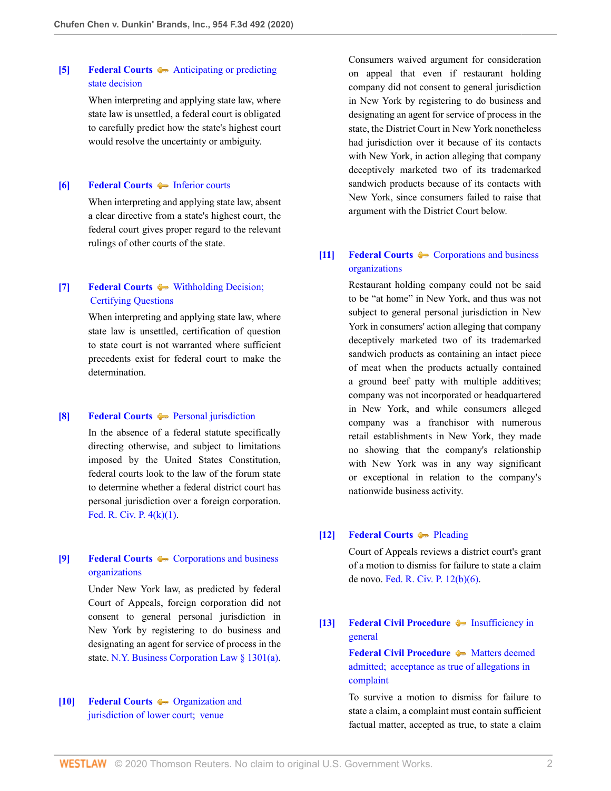# <span id="page-1-3"></span>**[\[5\]](#page-4-4) [Federal Courts](http://www.westlaw.com/Browse/Home/KeyNumber/170B/View.html?docGuid=I53417de0738f11ea99df8ae889484d86&originationContext=document&vr=3.0&rs=cblt1.0&transitionType=DocumentItem&contextData=(sc.UserEnteredCitation))**  $\leftarrow$  [Anticipating or predicting](http://www.westlaw.com/Browse/Home/KeyNumber/170Bk3103/View.html?docGuid=I53417de0738f11ea99df8ae889484d86&originationContext=document&vr=3.0&rs=cblt1.0&transitionType=DocumentItem&contextData=(sc.UserEnteredCitation)) [state decision](http://www.westlaw.com/Browse/Home/KeyNumber/170Bk3103/View.html?docGuid=I53417de0738f11ea99df8ae889484d86&originationContext=document&vr=3.0&rs=cblt1.0&transitionType=DocumentItem&contextData=(sc.UserEnteredCitation))

When interpreting and applying state law, where state law is unsettled, a federal court is obligated to carefully predict how the state's highest court would resolve the uncertainty or ambiguity.

#### <span id="page-1-4"></span>**[\[6\]](#page-4-5) [Federal Courts](http://www.westlaw.com/Browse/Home/KeyNumber/170B/View.html?docGuid=I53417de0738f11ea99df8ae889484d86&originationContext=document&vr=3.0&rs=cblt1.0&transitionType=DocumentItem&contextData=(sc.UserEnteredCitation))**  $\rightarrow$  [Inferior courts](http://www.westlaw.com/Browse/Home/KeyNumber/170Bk3008(3)/View.html?docGuid=I53417de0738f11ea99df8ae889484d86&originationContext=document&vr=3.0&rs=cblt1.0&transitionType=DocumentItem&contextData=(sc.UserEnteredCitation))

When interpreting and applying state law, absent a clear directive from a state's highest court, the federal court gives proper regard to the relevant rulings of other courts of the state.

# <span id="page-1-5"></span>**[\[7\]](#page-4-6) [Federal Courts](http://www.westlaw.com/Browse/Home/KeyNumber/170B/View.html?docGuid=I53417de0738f11ea99df8ae889484d86&originationContext=document&vr=3.0&rs=cblt1.0&transitionType=DocumentItem&contextData=(sc.UserEnteredCitation))**  $\rightarrow$  Withholding Decision; [Certifying Questions](http://www.westlaw.com/Browse/Home/KeyNumber/170Bk3105/View.html?docGuid=I53417de0738f11ea99df8ae889484d86&originationContext=document&vr=3.0&rs=cblt1.0&transitionType=DocumentItem&contextData=(sc.UserEnteredCitation))

When interpreting and applying state law, where state law is unsettled, certification of question to state court is not warranted where sufficient precedents exist for federal court to make the determination.

#### <span id="page-1-6"></span>**[\[8\]](#page-4-7) [Federal Courts](http://www.westlaw.com/Browse/Home/KeyNumber/170B/View.html?docGuid=I53417de0738f11ea99df8ae889484d86&originationContext=document&vr=3.0&rs=cblt1.0&transitionType=DocumentItem&contextData=(sc.UserEnteredCitation))**  $\blacklozenge$  **[Personal jurisdiction](http://www.westlaw.com/Browse/Home/KeyNumber/170Bk3025(4)/View.html?docGuid=I53417de0738f11ea99df8ae889484d86&originationContext=document&vr=3.0&rs=cblt1.0&transitionType=DocumentItem&contextData=(sc.UserEnteredCitation))**

In the absence of a federal statute specifically directing otherwise, and subject to limitations imposed by the United States Constitution, federal courts look to the law of the forum state to determine whether a federal district court has personal jurisdiction over a foreign corporation. [Fed. R. Civ. P. 4\(k\)\(1\).](http://www.westlaw.com/Link/Document/FullText?findType=L&pubNum=1000600&cite=USFRCPR4&originatingDoc=I53417de0738f11ea99df8ae889484d86&refType=LQ&originationContext=document&vr=3.0&rs=cblt1.0&transitionType=DocumentItem&contextData=(sc.UserEnteredCitation))

# <span id="page-1-0"></span>**[\[9\]](#page-5-0) [Federal Courts](http://www.westlaw.com/Browse/Home/KeyNumber/170B/View.html?docGuid=I53417de0738f11ea99df8ae889484d86&originationContext=document&vr=3.0&rs=cblt1.0&transitionType=DocumentItem&contextData=(sc.UserEnteredCitation))**  $\leftarrow$  [Corporations and business](http://www.westlaw.com/Browse/Home/KeyNumber/170Bk2732/View.html?docGuid=I53417de0738f11ea99df8ae889484d86&originationContext=document&vr=3.0&rs=cblt1.0&transitionType=DocumentItem&contextData=(sc.UserEnteredCitation)) [organizations](http://www.westlaw.com/Browse/Home/KeyNumber/170Bk2732/View.html?docGuid=I53417de0738f11ea99df8ae889484d86&originationContext=document&vr=3.0&rs=cblt1.0&transitionType=DocumentItem&contextData=(sc.UserEnteredCitation))

Under New York law, as predicted by federal Court of Appeals, foreign corporation did not consent to general personal jurisdiction in New York by registering to do business and designating an agent for service of process in the state. [N.Y. Business Corporation Law § 1301\(a\)](http://www.westlaw.com/Link/Document/FullText?findType=L&pubNum=1000057&cite=NYBUS1301&originatingDoc=I53417de0738f11ea99df8ae889484d86&refType=SP&originationContext=document&vr=3.0&rs=cblt1.0&transitionType=DocumentItem&contextData=(sc.UserEnteredCitation)#co_pp_8b3b0000958a4).

### <span id="page-1-1"></span>**[\[10\]](#page-6-0) [Federal Courts](http://www.westlaw.com/Browse/Home/KeyNumber/170B/View.html?docGuid=I53417de0738f11ea99df8ae889484d86&originationContext=document&vr=3.0&rs=cblt1.0&transitionType=DocumentItem&contextData=(sc.UserEnteredCitation))**  $\rightarrow$  [Organization and](http://www.westlaw.com/Browse/Home/KeyNumber/170Bk3409/View.html?docGuid=I53417de0738f11ea99df8ae889484d86&originationContext=document&vr=3.0&rs=cblt1.0&transitionType=DocumentItem&contextData=(sc.UserEnteredCitation)) [jurisdiction of lower court;  venue](http://www.westlaw.com/Browse/Home/KeyNumber/170Bk3409/View.html?docGuid=I53417de0738f11ea99df8ae889484d86&originationContext=document&vr=3.0&rs=cblt1.0&transitionType=DocumentItem&contextData=(sc.UserEnteredCitation))

Consumers waived argument for consideration on appeal that even if restaurant holding company did not consent to general jurisdiction in New York by registering to do business and designating an agent for service of process in the state, the District Court in New York nonetheless had jurisdiction over it because of its contacts with New York, in action alleging that company deceptively marketed two of its trademarked sandwich products because of its contacts with New York, since consumers failed to raise that argument with the District Court below.

# <span id="page-1-2"></span>**[\[11\]](#page-6-1) [Federal Courts](http://www.westlaw.com/Browse/Home/KeyNumber/170B/View.html?docGuid=I53417de0738f11ea99df8ae889484d86&originationContext=document&vr=3.0&rs=cblt1.0&transitionType=DocumentItem&contextData=(sc.UserEnteredCitation))**  $\rightarrow$  [Corporations and business](http://www.westlaw.com/Browse/Home/KeyNumber/170Bk2732/View.html?docGuid=I53417de0738f11ea99df8ae889484d86&originationContext=document&vr=3.0&rs=cblt1.0&transitionType=DocumentItem&contextData=(sc.UserEnteredCitation)) [organizations](http://www.westlaw.com/Browse/Home/KeyNumber/170Bk2732/View.html?docGuid=I53417de0738f11ea99df8ae889484d86&originationContext=document&vr=3.0&rs=cblt1.0&transitionType=DocumentItem&contextData=(sc.UserEnteredCitation))

Restaurant holding company could not be said to be "at home" in New York, and thus was not subject to general personal jurisdiction in New York in consumers' action alleging that company deceptively marketed two of its trademarked sandwich products as containing an intact piece of meat when the products actually contained a ground beef patty with multiple additives; company was not incorporated or headquartered in New York, and while consumers alleged company was a franchisor with numerous retail establishments in New York, they made no showing that the company's relationship with New York was in any way significant or exceptional in relation to the company's nationwide business activity.

#### <span id="page-1-7"></span>**[\[12\]](#page-6-2) [Federal Courts](http://www.westlaw.com/Browse/Home/KeyNumber/170B/View.html?docGuid=I53417de0738f11ea99df8ae889484d86&originationContext=document&vr=3.0&rs=cblt1.0&transitionType=DocumentItem&contextData=(sc.UserEnteredCitation)) [Pleading](http://www.westlaw.com/Browse/Home/KeyNumber/170Bk3587/View.html?docGuid=I53417de0738f11ea99df8ae889484d86&originationContext=document&vr=3.0&rs=cblt1.0&transitionType=DocumentItem&contextData=(sc.UserEnteredCitation))**

Court of Appeals reviews a district court's grant of a motion to dismiss for failure to state a claim de novo. [Fed. R. Civ. P. 12\(b\)\(6\).](http://www.westlaw.com/Link/Document/FullText?findType=L&pubNum=1000600&cite=USFRCPR12&originatingDoc=I53417de0738f11ea99df8ae889484d86&refType=LQ&originationContext=document&vr=3.0&rs=cblt1.0&transitionType=DocumentItem&contextData=(sc.UserEnteredCitation))

# <span id="page-1-8"></span>**[\[13\]](#page-6-3) [Federal Civil Procedure](http://www.westlaw.com/Browse/Home/KeyNumber/170A/View.html?docGuid=I53417de0738f11ea99df8ae889484d86&originationContext=document&vr=3.0&rs=cblt1.0&transitionType=DocumentItem&contextData=(sc.UserEnteredCitation))**  $\blacklozenge$  **[Insufficiency in](http://www.westlaw.com/Browse/Home/KeyNumber/170Ak1772/View.html?docGuid=I53417de0738f11ea99df8ae889484d86&originationContext=document&vr=3.0&rs=cblt1.0&transitionType=DocumentItem&contextData=(sc.UserEnteredCitation))** [general](http://www.westlaw.com/Browse/Home/KeyNumber/170Ak1772/View.html?docGuid=I53417de0738f11ea99df8ae889484d86&originationContext=document&vr=3.0&rs=cblt1.0&transitionType=DocumentItem&contextData=(sc.UserEnteredCitation))

**[Federal Civil Procedure](http://www.westlaw.com/Browse/Home/KeyNumber/170A/View.html?docGuid=I53417de0738f11ea99df8ae889484d86&originationContext=document&vr=3.0&rs=cblt1.0&transitionType=DocumentItem&contextData=(sc.UserEnteredCitation))**  $\blacktriangleright$  [Matters deemed](http://www.westlaw.com/Browse/Home/KeyNumber/170Ak1835/View.html?docGuid=I53417de0738f11ea99df8ae889484d86&originationContext=document&vr=3.0&rs=cblt1.0&transitionType=DocumentItem&contextData=(sc.UserEnteredCitation)) [admitted;  acceptance as true of allegations in](http://www.westlaw.com/Browse/Home/KeyNumber/170Ak1835/View.html?docGuid=I53417de0738f11ea99df8ae889484d86&originationContext=document&vr=3.0&rs=cblt1.0&transitionType=DocumentItem&contextData=(sc.UserEnteredCitation)) [complaint](http://www.westlaw.com/Browse/Home/KeyNumber/170Ak1835/View.html?docGuid=I53417de0738f11ea99df8ae889484d86&originationContext=document&vr=3.0&rs=cblt1.0&transitionType=DocumentItem&contextData=(sc.UserEnteredCitation))

To survive a motion to dismiss for failure to state a claim, a complaint must contain sufficient factual matter, accepted as true, to state a claim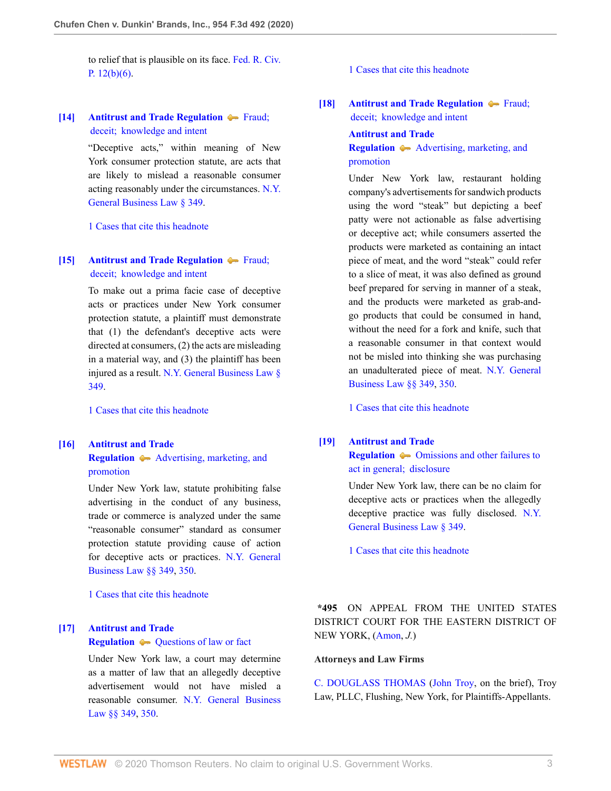to relief that is plausible on its face. [Fed. R. Civ.](http://www.westlaw.com/Link/Document/FullText?findType=L&pubNum=1000600&cite=USFRCPR12&originatingDoc=I53417de0738f11ea99df8ae889484d86&refType=LQ&originationContext=document&vr=3.0&rs=cblt1.0&transitionType=DocumentItem&contextData=(sc.UserEnteredCitation)) P.  $12(b)(6)$ .

### <span id="page-2-1"></span>**[\[14\]](#page-6-4) [Antitrust and Trade Regulation](http://www.westlaw.com/Browse/Home/KeyNumber/29T/View.html?docGuid=I53417de0738f11ea99df8ae889484d86&originationContext=document&vr=3.0&rs=cblt1.0&transitionType=DocumentItem&contextData=(sc.UserEnteredCitation))**  $\blacktriangleright$  Fraud; [deceit;  knowledge and intent](http://www.westlaw.com/Browse/Home/KeyNumber/29Tk136/View.html?docGuid=I53417de0738f11ea99df8ae889484d86&originationContext=document&vr=3.0&rs=cblt1.0&transitionType=DocumentItem&contextData=(sc.UserEnteredCitation))

"Deceptive acts," within meaning of New York consumer protection statute, are acts that are likely to mislead a reasonable consumer acting reasonably under the circumstances. [N.Y.](http://www.westlaw.com/Link/Document/FullText?findType=L&pubNum=1000081&cite=NYGBS349&originatingDoc=I53417de0738f11ea99df8ae889484d86&refType=LQ&originationContext=document&vr=3.0&rs=cblt1.0&transitionType=DocumentItem&contextData=(sc.UserEnteredCitation)) [General Business Law § 349](http://www.westlaw.com/Link/Document/FullText?findType=L&pubNum=1000081&cite=NYGBS349&originatingDoc=I53417de0738f11ea99df8ae889484d86&refType=LQ&originationContext=document&vr=3.0&rs=cblt1.0&transitionType=DocumentItem&contextData=(sc.UserEnteredCitation)).

[1 Cases that cite this headnote](http://www.westlaw.com/Link/RelatedInformation/DocHeadnoteLink?docGuid=I53417de0738f11ea99df8ae889484d86&headnoteId=205067399901420200514112738&originationContext=document&vr=3.0&rs=cblt1.0&transitionType=CitingReferences&contextData=(sc.UserEnteredCitation))

### <span id="page-2-2"></span>**[\[15\]](#page-6-5) [Antitrust and Trade Regulation](http://www.westlaw.com/Browse/Home/KeyNumber/29T/View.html?docGuid=I53417de0738f11ea99df8ae889484d86&originationContext=document&vr=3.0&rs=cblt1.0&transitionType=DocumentItem&contextData=(sc.UserEnteredCitation))**  $\blacklozenge$  Fraud; [deceit;  knowledge and intent](http://www.westlaw.com/Browse/Home/KeyNumber/29Tk136/View.html?docGuid=I53417de0738f11ea99df8ae889484d86&originationContext=document&vr=3.0&rs=cblt1.0&transitionType=DocumentItem&contextData=(sc.UserEnteredCitation))

To make out a prima facie case of deceptive acts or practices under New York consumer protection statute, a plaintiff must demonstrate that (1) the defendant's deceptive acts were directed at consumers, (2) the acts are misleading in a material way, and (3) the plaintiff has been injured as a result. [N.Y. General Business Law §](http://www.westlaw.com/Link/Document/FullText?findType=L&pubNum=1000081&cite=NYGBS349&originatingDoc=I53417de0738f11ea99df8ae889484d86&refType=LQ&originationContext=document&vr=3.0&rs=cblt1.0&transitionType=DocumentItem&contextData=(sc.UserEnteredCitation)) [349.](http://www.westlaw.com/Link/Document/FullText?findType=L&pubNum=1000081&cite=NYGBS349&originatingDoc=I53417de0738f11ea99df8ae889484d86&refType=LQ&originationContext=document&vr=3.0&rs=cblt1.0&transitionType=DocumentItem&contextData=(sc.UserEnteredCitation))

[1 Cases that cite this headnote](http://www.westlaw.com/Link/RelatedInformation/DocHeadnoteLink?docGuid=I53417de0738f11ea99df8ae889484d86&headnoteId=205067399901520200514112738&originationContext=document&vr=3.0&rs=cblt1.0&transitionType=CitingReferences&contextData=(sc.UserEnteredCitation))

#### <span id="page-2-3"></span>**[\[16\]](#page-6-6) [Antitrust and Trade](http://www.westlaw.com/Browse/Home/KeyNumber/29T/View.html?docGuid=I53417de0738f11ea99df8ae889484d86&originationContext=document&vr=3.0&rs=cblt1.0&transitionType=DocumentItem&contextData=(sc.UserEnteredCitation))**

**[Regulation](http://www.westlaw.com/Browse/Home/KeyNumber/29T/View.html?docGuid=I53417de0738f11ea99df8ae889484d86&originationContext=document&vr=3.0&rs=cblt1.0&transitionType=DocumentItem&contextData=(sc.UserEnteredCitation))**  $\blacklozenge$  [Advertising, marketing, and](http://www.westlaw.com/Browse/Home/KeyNumber/29Tk163/View.html?docGuid=I53417de0738f11ea99df8ae889484d86&originationContext=document&vr=3.0&rs=cblt1.0&transitionType=DocumentItem&contextData=(sc.UserEnteredCitation)) [promotion](http://www.westlaw.com/Browse/Home/KeyNumber/29Tk163/View.html?docGuid=I53417de0738f11ea99df8ae889484d86&originationContext=document&vr=3.0&rs=cblt1.0&transitionType=DocumentItem&contextData=(sc.UserEnteredCitation))

Under New York law, statute prohibiting false advertising in the conduct of any business, trade or commerce is analyzed under the same "reasonable consumer" standard as consumer protection statute providing cause of action for deceptive acts or practices. [N.Y. General](http://www.westlaw.com/Link/Document/FullText?findType=L&pubNum=1000081&cite=NYGBS349&originatingDoc=I53417de0738f11ea99df8ae889484d86&refType=LQ&originationContext=document&vr=3.0&rs=cblt1.0&transitionType=DocumentItem&contextData=(sc.UserEnteredCitation)) [Business Law §§ 349](http://www.westlaw.com/Link/Document/FullText?findType=L&pubNum=1000081&cite=NYGBS349&originatingDoc=I53417de0738f11ea99df8ae889484d86&refType=LQ&originationContext=document&vr=3.0&rs=cblt1.0&transitionType=DocumentItem&contextData=(sc.UserEnteredCitation)), [350](http://www.westlaw.com/Link/Document/FullText?findType=L&pubNum=1000081&cite=NYGBS350&originatingDoc=I53417de0738f11ea99df8ae889484d86&refType=LQ&originationContext=document&vr=3.0&rs=cblt1.0&transitionType=DocumentItem&contextData=(sc.UserEnteredCitation)).

[1 Cases that cite this headnote](http://www.westlaw.com/Link/RelatedInformation/DocHeadnoteLink?docGuid=I53417de0738f11ea99df8ae889484d86&headnoteId=205067399901620200514112738&originationContext=document&vr=3.0&rs=cblt1.0&transitionType=CitingReferences&contextData=(sc.UserEnteredCitation))

# <span id="page-2-4"></span>**[\[17\]](#page-6-7) [Antitrust and Trade](http://www.westlaw.com/Browse/Home/KeyNumber/29T/View.html?docGuid=I53417de0738f11ea99df8ae889484d86&originationContext=document&vr=3.0&rs=cblt1.0&transitionType=DocumentItem&contextData=(sc.UserEnteredCitation)) [Regulation](http://www.westlaw.com/Browse/Home/KeyNumber/29T/View.html?docGuid=I53417de0738f11ea99df8ae889484d86&originationContext=document&vr=3.0&rs=cblt1.0&transitionType=DocumentItem&contextData=(sc.UserEnteredCitation))**  $\blacklozenge$  [Questions of law or fact](http://www.westlaw.com/Browse/Home/KeyNumber/29Tk363/View.html?docGuid=I53417de0738f11ea99df8ae889484d86&originationContext=document&vr=3.0&rs=cblt1.0&transitionType=DocumentItem&contextData=(sc.UserEnteredCitation))

Under New York law, a court may determine as a matter of law that an allegedly deceptive advertisement would not have misled a reasonable consumer. [N.Y. General Business](http://www.westlaw.com/Link/Document/FullText?findType=L&pubNum=1000081&cite=NYGBS349&originatingDoc=I53417de0738f11ea99df8ae889484d86&refType=LQ&originationContext=document&vr=3.0&rs=cblt1.0&transitionType=DocumentItem&contextData=(sc.UserEnteredCitation)) [Law §§ 349](http://www.westlaw.com/Link/Document/FullText?findType=L&pubNum=1000081&cite=NYGBS349&originatingDoc=I53417de0738f11ea99df8ae889484d86&refType=LQ&originationContext=document&vr=3.0&rs=cblt1.0&transitionType=DocumentItem&contextData=(sc.UserEnteredCitation)), [350](http://www.westlaw.com/Link/Document/FullText?findType=L&pubNum=1000081&cite=NYGBS350&originatingDoc=I53417de0738f11ea99df8ae889484d86&refType=LQ&originationContext=document&vr=3.0&rs=cblt1.0&transitionType=DocumentItem&contextData=(sc.UserEnteredCitation)).

#### [1 Cases that cite this headnote](http://www.westlaw.com/Link/RelatedInformation/DocHeadnoteLink?docGuid=I53417de0738f11ea99df8ae889484d86&headnoteId=205067399901720200514112738&originationContext=document&vr=3.0&rs=cblt1.0&transitionType=CitingReferences&contextData=(sc.UserEnteredCitation))

<span id="page-2-0"></span>**[\[18\]](#page-6-8) [Antitrust and Trade Regulation](http://www.westlaw.com/Browse/Home/KeyNumber/29T/View.html?docGuid=I53417de0738f11ea99df8ae889484d86&originationContext=document&vr=3.0&rs=cblt1.0&transitionType=DocumentItem&contextData=(sc.UserEnteredCitation))**  $\blacklozenge$  Fraud;

[deceit;  knowledge and intent](http://www.westlaw.com/Browse/Home/KeyNumber/29Tk136/View.html?docGuid=I53417de0738f11ea99df8ae889484d86&originationContext=document&vr=3.0&rs=cblt1.0&transitionType=DocumentItem&contextData=(sc.UserEnteredCitation))

#### **[Antitrust and Trade](http://www.westlaw.com/Browse/Home/KeyNumber/29T/View.html?docGuid=I53417de0738f11ea99df8ae889484d86&originationContext=document&vr=3.0&rs=cblt1.0&transitionType=DocumentItem&contextData=(sc.UserEnteredCitation))**

## **[Regulation](http://www.westlaw.com/Browse/Home/KeyNumber/29T/View.html?docGuid=I53417de0738f11ea99df8ae889484d86&originationContext=document&vr=3.0&rs=cblt1.0&transitionType=DocumentItem&contextData=(sc.UserEnteredCitation))**  $\blacklozenge$  [Advertising, marketing, and](http://www.westlaw.com/Browse/Home/KeyNumber/29Tk163/View.html?docGuid=I53417de0738f11ea99df8ae889484d86&originationContext=document&vr=3.0&rs=cblt1.0&transitionType=DocumentItem&contextData=(sc.UserEnteredCitation)) [promotion](http://www.westlaw.com/Browse/Home/KeyNumber/29Tk163/View.html?docGuid=I53417de0738f11ea99df8ae889484d86&originationContext=document&vr=3.0&rs=cblt1.0&transitionType=DocumentItem&contextData=(sc.UserEnteredCitation))

Under New York law, restaurant holding company's advertisements for sandwich products using the word "steak" but depicting a beef patty were not actionable as false advertising or deceptive act; while consumers asserted the products were marketed as containing an intact piece of meat, and the word "steak" could refer to a slice of meat, it was also defined as ground beef prepared for serving in manner of a steak, and the products were marketed as grab-andgo products that could be consumed in hand, without the need for a fork and knife, such that a reasonable consumer in that context would not be misled into thinking she was purchasing an unadulterated piece of meat. [N.Y. General](http://www.westlaw.com/Link/Document/FullText?findType=L&pubNum=1000081&cite=NYGBS349&originatingDoc=I53417de0738f11ea99df8ae889484d86&refType=LQ&originationContext=document&vr=3.0&rs=cblt1.0&transitionType=DocumentItem&contextData=(sc.UserEnteredCitation)) [Business Law §§ 349](http://www.westlaw.com/Link/Document/FullText?findType=L&pubNum=1000081&cite=NYGBS349&originatingDoc=I53417de0738f11ea99df8ae889484d86&refType=LQ&originationContext=document&vr=3.0&rs=cblt1.0&transitionType=DocumentItem&contextData=(sc.UserEnteredCitation)), [350](http://www.westlaw.com/Link/Document/FullText?findType=L&pubNum=1000081&cite=NYGBS350&originatingDoc=I53417de0738f11ea99df8ae889484d86&refType=LQ&originationContext=document&vr=3.0&rs=cblt1.0&transitionType=DocumentItem&contextData=(sc.UserEnteredCitation)).

[1 Cases that cite this headnote](http://www.westlaw.com/Link/RelatedInformation/DocHeadnoteLink?docGuid=I53417de0738f11ea99df8ae889484d86&headnoteId=205067399901820200514112738&originationContext=document&vr=3.0&rs=cblt1.0&transitionType=CitingReferences&contextData=(sc.UserEnteredCitation))

#### <span id="page-2-5"></span>**[\[19\]](#page-6-9) [Antitrust and Trade](http://www.westlaw.com/Browse/Home/KeyNumber/29T/View.html?docGuid=I53417de0738f11ea99df8ae889484d86&originationContext=document&vr=3.0&rs=cblt1.0&transitionType=DocumentItem&contextData=(sc.UserEnteredCitation))**

**[Regulation](http://www.westlaw.com/Browse/Home/KeyNumber/29T/View.html?docGuid=I53417de0738f11ea99df8ae889484d86&originationContext=document&vr=3.0&rs=cblt1.0&transitionType=DocumentItem&contextData=(sc.UserEnteredCitation))**  $\bullet$  [Omissions and other failures to](http://www.westlaw.com/Browse/Home/KeyNumber/29Tk162/View.html?docGuid=I53417de0738f11ea99df8ae889484d86&originationContext=document&vr=3.0&rs=cblt1.0&transitionType=DocumentItem&contextData=(sc.UserEnteredCitation)) [act in general;  disclosure](http://www.westlaw.com/Browse/Home/KeyNumber/29Tk162/View.html?docGuid=I53417de0738f11ea99df8ae889484d86&originationContext=document&vr=3.0&rs=cblt1.0&transitionType=DocumentItem&contextData=(sc.UserEnteredCitation))

Under New York law, there can be no claim for deceptive acts or practices when the allegedly deceptive practice was fully disclosed. [N.Y.](http://www.westlaw.com/Link/Document/FullText?findType=L&pubNum=1000081&cite=NYGBS349&originatingDoc=I53417de0738f11ea99df8ae889484d86&refType=LQ&originationContext=document&vr=3.0&rs=cblt1.0&transitionType=DocumentItem&contextData=(sc.UserEnteredCitation)) [General Business Law § 349](http://www.westlaw.com/Link/Document/FullText?findType=L&pubNum=1000081&cite=NYGBS349&originatingDoc=I53417de0738f11ea99df8ae889484d86&refType=LQ&originationContext=document&vr=3.0&rs=cblt1.0&transitionType=DocumentItem&contextData=(sc.UserEnteredCitation)).

[1 Cases that cite this headnote](http://www.westlaw.com/Link/RelatedInformation/DocHeadnoteLink?docGuid=I53417de0738f11ea99df8ae889484d86&headnoteId=205067399901920200514112738&originationContext=document&vr=3.0&rs=cblt1.0&transitionType=CitingReferences&contextData=(sc.UserEnteredCitation))

**\*495** ON APPEAL FROM THE UNITED STATES DISTRICT COURT FOR THE EASTERN DISTRICT OF NEW YORK, ([Amon,](http://www.westlaw.com/Link/Document/FullText?findType=h&pubNum=176284&cite=0148715101&originatingDoc=I53417de0738f11ea99df8ae889484d86&refType=RQ&originationContext=document&vr=3.0&rs=cblt1.0&transitionType=DocumentItem&contextData=(sc.UserEnteredCitation)) *J.*)

#### **Attorneys and Law Firms**

[C. DOUGLASS THOMAS](http://www.westlaw.com/Link/Document/FullText?findType=h&pubNum=176284&cite=0113449001&originatingDoc=I53417de0738f11ea99df8ae889484d86&refType=RQ&originationContext=document&vr=3.0&rs=cblt1.0&transitionType=DocumentItem&contextData=(sc.UserEnteredCitation)) ([John Troy](http://www.westlaw.com/Link/Document/FullText?findType=h&pubNum=176284&cite=0430849901&originatingDoc=I53417de0738f11ea99df8ae889484d86&refType=RQ&originationContext=document&vr=3.0&rs=cblt1.0&transitionType=DocumentItem&contextData=(sc.UserEnteredCitation)), on the brief), Troy Law, PLLC, Flushing, New York, for Plaintiffs-Appellants.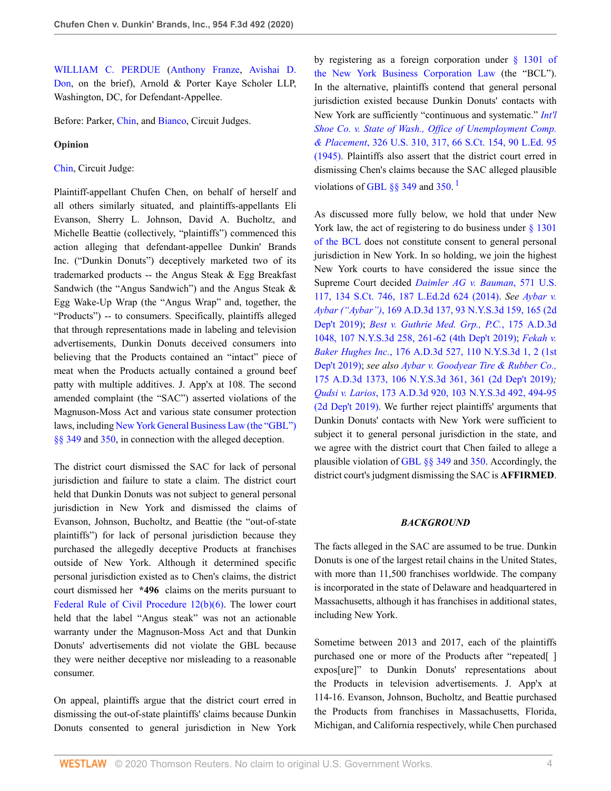[WILLIAM C. PERDUE](http://www.westlaw.com/Link/Document/FullText?findType=h&pubNum=176284&cite=0488610801&originatingDoc=I53417de0738f11ea99df8ae889484d86&refType=RQ&originationContext=document&vr=3.0&rs=cblt1.0&transitionType=DocumentItem&contextData=(sc.UserEnteredCitation)) [\(Anthony Franze](http://www.westlaw.com/Link/Document/FullText?findType=h&pubNum=176284&cite=0202621901&originatingDoc=I53417de0738f11ea99df8ae889484d86&refType=RQ&originationContext=document&vr=3.0&rs=cblt1.0&transitionType=DocumentItem&contextData=(sc.UserEnteredCitation)), [Avishai D.](http://www.westlaw.com/Link/Document/FullText?findType=h&pubNum=176284&cite=0515864001&originatingDoc=I53417de0738f11ea99df8ae889484d86&refType=RQ&originationContext=document&vr=3.0&rs=cblt1.0&transitionType=DocumentItem&contextData=(sc.UserEnteredCitation)) [Don](http://www.westlaw.com/Link/Document/FullText?findType=h&pubNum=176284&cite=0515864001&originatingDoc=I53417de0738f11ea99df8ae889484d86&refType=RQ&originationContext=document&vr=3.0&rs=cblt1.0&transitionType=DocumentItem&contextData=(sc.UserEnteredCitation)), on the brief), Arnold & Porter Kaye Scholer LLP, Washington, DC, for Defendant-Appellee.

Before: Parker, [Chin,](http://www.westlaw.com/Link/Document/FullText?findType=h&pubNum=176284&cite=0108604601&originatingDoc=I53417de0738f11ea99df8ae889484d86&refType=RQ&originationContext=document&vr=3.0&rs=cblt1.0&transitionType=DocumentItem&contextData=(sc.UserEnteredCitation)) and [Bianco,](http://www.westlaw.com/Link/Document/FullText?findType=h&pubNum=176284&cite=0128458101&originatingDoc=I53417de0738f11ea99df8ae889484d86&refType=RQ&originationContext=document&vr=3.0&rs=cblt1.0&transitionType=DocumentItem&contextData=(sc.UserEnteredCitation)) Circuit Judges.

#### **Opinion**

#### [Chin](http://www.westlaw.com/Link/Document/FullText?findType=h&pubNum=176284&cite=0108604601&originatingDoc=I53417de0738f11ea99df8ae889484d86&refType=RQ&originationContext=document&vr=3.0&rs=cblt1.0&transitionType=DocumentItem&contextData=(sc.UserEnteredCitation)), Circuit Judge:

Plaintiff-appellant Chufen Chen, on behalf of herself and all others similarly situated, and plaintiffs-appellants Eli Evanson, Sherry L. Johnson, David A. Bucholtz, and Michelle Beattie (collectively, "plaintiffs") commenced this action alleging that defendant-appellee Dunkin' Brands Inc. ("Dunkin Donuts") deceptively marketed two of its trademarked products -- the Angus Steak & Egg Breakfast Sandwich (the "Angus Sandwich") and the Angus Steak & Egg Wake-Up Wrap (the "Angus Wrap" and, together, the "Products") -- to consumers. Specifically, plaintiffs alleged that through representations made in labeling and television advertisements, Dunkin Donuts deceived consumers into believing that the Products contained an "intact" piece of meat when the Products actually contained a ground beef patty with multiple additives. J. App'x at 108. The second amended complaint (the "SAC") asserted violations of the Magnuson-Moss Act and various state consumer protection laws, including [New York General Business Law \(the "GBL"\)](http://www.westlaw.com/Link/Document/FullText?findType=L&pubNum=1000081&cite=NYGBS349&originatingDoc=I53417de0738f11ea99df8ae889484d86&refType=LQ&originationContext=document&vr=3.0&rs=cblt1.0&transitionType=DocumentItem&contextData=(sc.UserEnteredCitation)) [§§ 349](http://www.westlaw.com/Link/Document/FullText?findType=L&pubNum=1000081&cite=NYGBS349&originatingDoc=I53417de0738f11ea99df8ae889484d86&refType=LQ&originationContext=document&vr=3.0&rs=cblt1.0&transitionType=DocumentItem&contextData=(sc.UserEnteredCitation)) and [350,](http://www.westlaw.com/Link/Document/FullText?findType=L&pubNum=1000081&cite=NYGBS350&originatingDoc=I53417de0738f11ea99df8ae889484d86&refType=LQ&originationContext=document&vr=3.0&rs=cblt1.0&transitionType=DocumentItem&contextData=(sc.UserEnteredCitation)) in connection with the alleged deception.

The district court dismissed the SAC for lack of personal jurisdiction and failure to state a claim. The district court held that Dunkin Donuts was not subject to general personal jurisdiction in New York and dismissed the claims of Evanson, Johnson, Bucholtz, and Beattie (the "out-of-state plaintiffs") for lack of personal jurisdiction because they purchased the allegedly deceptive Products at franchises outside of New York. Although it determined specific personal jurisdiction existed as to Chen's claims, the district court dismissed her **\*496** claims on the merits pursuant to [Federal Rule of Civil Procedure 12\(b\)\(6\)](http://www.westlaw.com/Link/Document/FullText?findType=L&pubNum=1000600&cite=USFRCPR12&originatingDoc=I53417de0738f11ea99df8ae889484d86&refType=LQ&originationContext=document&vr=3.0&rs=cblt1.0&transitionType=DocumentItem&contextData=(sc.UserEnteredCitation)). The lower court held that the label "Angus steak" was not an actionable warranty under the Magnuson-Moss Act and that Dunkin Donuts' advertisements did not violate the GBL because they were neither deceptive nor misleading to a reasonable consumer.

On appeal, plaintiffs argue that the district court erred in dismissing the out-of-state plaintiffs' claims because Dunkin Donuts consented to general jurisdiction in New York by registering as a foreign corporation under [§ 1301 of](http://www.westlaw.com/Link/Document/FullText?findType=L&pubNum=1000057&cite=NYBUS1301&originatingDoc=I53417de0738f11ea99df8ae889484d86&refType=LQ&originationContext=document&vr=3.0&rs=cblt1.0&transitionType=DocumentItem&contextData=(sc.UserEnteredCitation)) [the New York Business Corporation Law](http://www.westlaw.com/Link/Document/FullText?findType=L&pubNum=1000057&cite=NYBUS1301&originatingDoc=I53417de0738f11ea99df8ae889484d86&refType=LQ&originationContext=document&vr=3.0&rs=cblt1.0&transitionType=DocumentItem&contextData=(sc.UserEnteredCitation)) (the "BCL"). In the alternative, plaintiffs contend that general personal jurisdiction existed because Dunkin Donuts' contacts with New York are sufficiently "continuous and systematic." *[Int'l](http://www.westlaw.com/Link/Document/FullText?findType=Y&serNum=1945114956&pubNum=0000780&originatingDoc=I53417de0738f11ea99df8ae889484d86&refType=RP&fi=co_pp_sp_780_317&originationContext=document&vr=3.0&rs=cblt1.0&transitionType=DocumentItem&contextData=(sc.UserEnteredCitation)#co_pp_sp_780_317) [Shoe Co. v. State of Wash., Office of Unemployment Comp.](http://www.westlaw.com/Link/Document/FullText?findType=Y&serNum=1945114956&pubNum=0000780&originatingDoc=I53417de0738f11ea99df8ae889484d86&refType=RP&fi=co_pp_sp_780_317&originationContext=document&vr=3.0&rs=cblt1.0&transitionType=DocumentItem&contextData=(sc.UserEnteredCitation)#co_pp_sp_780_317) & Placement*[, 326 U.S. 310, 317, 66 S.Ct. 154, 90 L.Ed. 95](http://www.westlaw.com/Link/Document/FullText?findType=Y&serNum=1945114956&pubNum=0000780&originatingDoc=I53417de0738f11ea99df8ae889484d86&refType=RP&fi=co_pp_sp_780_317&originationContext=document&vr=3.0&rs=cblt1.0&transitionType=DocumentItem&contextData=(sc.UserEnteredCitation)#co_pp_sp_780_317) [\(1945\).](http://www.westlaw.com/Link/Document/FullText?findType=Y&serNum=1945114956&pubNum=0000780&originatingDoc=I53417de0738f11ea99df8ae889484d86&refType=RP&fi=co_pp_sp_780_317&originationContext=document&vr=3.0&rs=cblt1.0&transitionType=DocumentItem&contextData=(sc.UserEnteredCitation)#co_pp_sp_780_317) Plaintiffs also assert that the district court erred in dismissing Chen's claims because the SAC alleged plausible violations of GBL  $\S$ § 349 and [350](http://www.westlaw.com/Link/Document/FullText?findType=L&pubNum=1000081&cite=NYGBS350&originatingDoc=I53417de0738f11ea99df8ae889484d86&refType=LQ&originationContext=document&vr=3.0&rs=cblt1.0&transitionType=DocumentItem&contextData=(sc.UserEnteredCitation)).<sup>[1](#page-7-0)</sup>

<span id="page-3-0"></span>As discussed more fully below, we hold that under New York law, the act of registering to do business under [§ 1301](http://www.westlaw.com/Link/Document/FullText?findType=L&pubNum=1000057&cite=NYBUS1301&originatingDoc=I53417de0738f11ea99df8ae889484d86&refType=LQ&originationContext=document&vr=3.0&rs=cblt1.0&transitionType=DocumentItem&contextData=(sc.UserEnteredCitation)) [of the BCL](http://www.westlaw.com/Link/Document/FullText?findType=L&pubNum=1000057&cite=NYBUS1301&originatingDoc=I53417de0738f11ea99df8ae889484d86&refType=LQ&originationContext=document&vr=3.0&rs=cblt1.0&transitionType=DocumentItem&contextData=(sc.UserEnteredCitation)) does not constitute consent to general personal jurisdiction in New York. In so holding, we join the highest New York courts to have considered the issue since the Supreme Court decided *[Daimler AG v. Bauman](http://www.westlaw.com/Link/Document/FullText?findType=Y&serNum=2032535459&pubNum=0000708&originatingDoc=I53417de0738f11ea99df8ae889484d86&refType=RP&originationContext=document&vr=3.0&rs=cblt1.0&transitionType=DocumentItem&contextData=(sc.UserEnteredCitation))*, 571 U.S. [117, 134 S.Ct. 746, 187 L.Ed.2d 624 \(2014\)](http://www.westlaw.com/Link/Document/FullText?findType=Y&serNum=2032535459&pubNum=0000708&originatingDoc=I53417de0738f11ea99df8ae889484d86&refType=RP&originationContext=document&vr=3.0&rs=cblt1.0&transitionType=DocumentItem&contextData=(sc.UserEnteredCitation)). *See [Aybar v.](http://www.westlaw.com/Link/Document/FullText?findType=Y&serNum=2047380280&pubNum=0007980&originatingDoc=I53417de0738f11ea99df8ae889484d86&refType=RP&fi=co_pp_sp_7980_165&originationContext=document&vr=3.0&rs=cblt1.0&transitionType=DocumentItem&contextData=(sc.UserEnteredCitation)#co_pp_sp_7980_165) Aybar ("Aybar")*[, 169 A.D.3d 137, 93 N.Y.S.3d 159, 165 \(2d](http://www.westlaw.com/Link/Document/FullText?findType=Y&serNum=2047380280&pubNum=0007980&originatingDoc=I53417de0738f11ea99df8ae889484d86&refType=RP&fi=co_pp_sp_7980_165&originationContext=document&vr=3.0&rs=cblt1.0&transitionType=DocumentItem&contextData=(sc.UserEnteredCitation)#co_pp_sp_7980_165) [Dep't 2019\);](http://www.westlaw.com/Link/Document/FullText?findType=Y&serNum=2047380280&pubNum=0007980&originatingDoc=I53417de0738f11ea99df8ae889484d86&refType=RP&fi=co_pp_sp_7980_165&originationContext=document&vr=3.0&rs=cblt1.0&transitionType=DocumentItem&contextData=(sc.UserEnteredCitation)#co_pp_sp_7980_165) *[Best v. Guthrie Med. Grp., P.C.](http://www.westlaw.com/Link/Document/FullText?findType=Y&serNum=2048962485&pubNum=0007980&originatingDoc=I53417de0738f11ea99df8ae889484d86&refType=RP&fi=co_pp_sp_7980_261&originationContext=document&vr=3.0&rs=cblt1.0&transitionType=DocumentItem&contextData=(sc.UserEnteredCitation)#co_pp_sp_7980_261)*, 175 A.D.3d [1048, 107 N.Y.S.3d 258, 261-62 \(4th Dep't 2019\);](http://www.westlaw.com/Link/Document/FullText?findType=Y&serNum=2048962485&pubNum=0007980&originatingDoc=I53417de0738f11ea99df8ae889484d86&refType=RP&fi=co_pp_sp_7980_261&originationContext=document&vr=3.0&rs=cblt1.0&transitionType=DocumentItem&contextData=(sc.UserEnteredCitation)#co_pp_sp_7980_261) *[Fekah v.](http://www.westlaw.com/Link/Document/FullText?findType=Y&serNum=2049422049&pubNum=0007980&originatingDoc=I53417de0738f11ea99df8ae889484d86&refType=RP&fi=co_pp_sp_7980_2&originationContext=document&vr=3.0&rs=cblt1.0&transitionType=DocumentItem&contextData=(sc.UserEnteredCitation)#co_pp_sp_7980_2) Baker Hughes Inc.*[, 176 A.D.3d 527, 110 N.Y.S.3d 1, 2 \(1st](http://www.westlaw.com/Link/Document/FullText?findType=Y&serNum=2049422049&pubNum=0007980&originatingDoc=I53417de0738f11ea99df8ae889484d86&refType=RP&fi=co_pp_sp_7980_2&originationContext=document&vr=3.0&rs=cblt1.0&transitionType=DocumentItem&contextData=(sc.UserEnteredCitation)#co_pp_sp_7980_2) [Dep't 2019\)](http://www.westlaw.com/Link/Document/FullText?findType=Y&serNum=2049422049&pubNum=0007980&originatingDoc=I53417de0738f11ea99df8ae889484d86&refType=RP&fi=co_pp_sp_7980_2&originationContext=document&vr=3.0&rs=cblt1.0&transitionType=DocumentItem&contextData=(sc.UserEnteredCitation)#co_pp_sp_7980_2); *see also [Aybar v. Goodyear Tire & Rubber Co.,](http://www.westlaw.com/Link/Document/FullText?findType=Y&serNum=2049208426&pubNum=0007980&originatingDoc=I53417de0738f11ea99df8ae889484d86&refType=RP&originationContext=document&vr=3.0&rs=cblt1.0&transitionType=DocumentItem&contextData=(sc.UserEnteredCitation))* [175 A.D.3d 1373, 106 N.Y.S.3d 361, 361 \(2d Dep't 2019\)](http://www.westlaw.com/Link/Document/FullText?findType=Y&serNum=2049208426&pubNum=0007980&originatingDoc=I53417de0738f11ea99df8ae889484d86&refType=RP&originationContext=document&vr=3.0&rs=cblt1.0&transitionType=DocumentItem&contextData=(sc.UserEnteredCitation))*; Qudsi v. Larios*[, 173 A.D.3d 920, 103 N.Y.S.3d 492, 494-95](http://www.westlaw.com/Link/Document/FullText?findType=Y&serNum=2048467531&pubNum=0007980&originatingDoc=I53417de0738f11ea99df8ae889484d86&refType=RP&fi=co_pp_sp_7980_494&originationContext=document&vr=3.0&rs=cblt1.0&transitionType=DocumentItem&contextData=(sc.UserEnteredCitation)#co_pp_sp_7980_494) [\(2d Dep't 2019\)](http://www.westlaw.com/Link/Document/FullText?findType=Y&serNum=2048467531&pubNum=0007980&originatingDoc=I53417de0738f11ea99df8ae889484d86&refType=RP&fi=co_pp_sp_7980_494&originationContext=document&vr=3.0&rs=cblt1.0&transitionType=DocumentItem&contextData=(sc.UserEnteredCitation)#co_pp_sp_7980_494). We further reject plaintiffs' arguments that Dunkin Donuts' contacts with New York were sufficient to subject it to general personal jurisdiction in the state, and we agree with the district court that Chen failed to allege a plausible violation of [GBL §§ 349](http://www.westlaw.com/Link/Document/FullText?findType=L&pubNum=1000081&cite=NYGBS349&originatingDoc=I53417de0738f11ea99df8ae889484d86&refType=LQ&originationContext=document&vr=3.0&rs=cblt1.0&transitionType=DocumentItem&contextData=(sc.UserEnteredCitation)) and [350.](http://www.westlaw.com/Link/Document/FullText?findType=L&pubNum=1000081&cite=NYGBS350&originatingDoc=I53417de0738f11ea99df8ae889484d86&refType=LQ&originationContext=document&vr=3.0&rs=cblt1.0&transitionType=DocumentItem&contextData=(sc.UserEnteredCitation)) Accordingly, the district court's judgment dismissing the SAC is **AFFIRMED**.

### *BACKGROUND*

The facts alleged in the SAC are assumed to be true. Dunkin Donuts is one of the largest retail chains in the United States, with more than 11,500 franchises worldwide. The company is incorporated in the state of Delaware and headquartered in Massachusetts, although it has franchises in additional states, including New York.

Sometime between 2013 and 2017, each of the plaintiffs purchased one or more of the Products after "repeated[ ] expos[ure]" to Dunkin Donuts' representations about the Products in television advertisements. J. App'x at 114-16. Evanson, Johnson, Bucholtz, and Beattie purchased the Products from franchises in Massachusetts, Florida, Michigan, and California respectively, while Chen purchased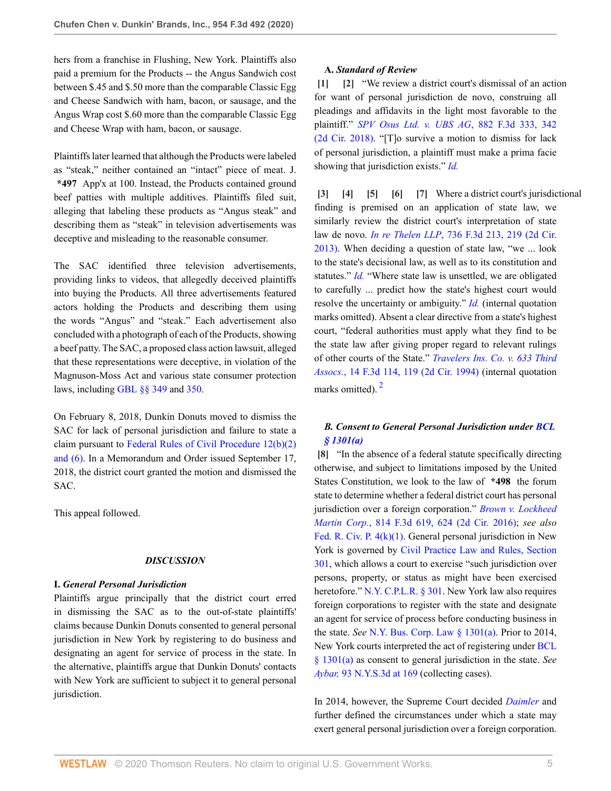hers from a franchise in Flushing, New York. Plaintiffs also paid a premium for the Products -- the Angus Sandwich cost between \$.45 and \$.50 more than the comparable Classic Egg and Cheese Sandwich with ham, bacon, or sausage, and the Angus Wrap cost \$.60 more than the comparable Classic Egg and Cheese Wrap with ham, bacon, or sausage.

Plaintiffs later learned that although the Products were labeled as "steak," neither contained an "intact" piece of meat. J. **\*497** App'x at 100. Instead, the Products contained ground beef patties with multiple additives. Plaintiffs filed suit, alleging that labeling these products as "Angus steak" and describing them as "steak" in television advertisements was deceptive and misleading to the reasonable consumer.

The SAC identified three television advertisements, providing links to videos, that allegedly deceived plaintiffs into buying the Products. All three advertisements featured actors holding the Products and describing them using the words "Angus" and "steak." Each advertisement also concluded with a photograph of each of the Products, showing a beef patty. The SAC, a proposed class action lawsuit, alleged that these representations were deceptive, in violation of the Magnuson-Moss Act and various state consumer protection laws, including [GBL §§ 349](http://www.westlaw.com/Link/Document/FullText?findType=L&pubNum=1000081&cite=NYGBS349&originatingDoc=I53417de0738f11ea99df8ae889484d86&refType=LQ&originationContext=document&vr=3.0&rs=cblt1.0&transitionType=DocumentItem&contextData=(sc.UserEnteredCitation)) and [350.](http://www.westlaw.com/Link/Document/FullText?findType=L&pubNum=1000081&cite=NYGBS350&originatingDoc=I53417de0738f11ea99df8ae889484d86&refType=LQ&originationContext=document&vr=3.0&rs=cblt1.0&transitionType=DocumentItem&contextData=(sc.UserEnteredCitation))

On February 8, 2018, Dunkin Donuts moved to dismiss the SAC for lack of personal jurisdiction and failure to state a claim pursuant to [Federal Rules of Civil Procedure 12\(b\)\(2\)](http://www.westlaw.com/Link/Document/FullText?findType=L&pubNum=1000600&cite=USFRCPR12&originatingDoc=I53417de0738f11ea99df8ae889484d86&refType=LQ&originationContext=document&vr=3.0&rs=cblt1.0&transitionType=DocumentItem&contextData=(sc.UserEnteredCitation)) [and \(6\)](http://www.westlaw.com/Link/Document/FullText?findType=L&pubNum=1000600&cite=USFRCPR12&originatingDoc=I53417de0738f11ea99df8ae889484d86&refType=LQ&originationContext=document&vr=3.0&rs=cblt1.0&transitionType=DocumentItem&contextData=(sc.UserEnteredCitation)). In a Memorandum and Order issued September 17, 2018, the district court granted the motion and dismissed the SAC.

This appeal followed.

#### *DISCUSSION*

#### **I.** *General Personal Jurisdiction*

Plaintiffs argue principally that the district court erred in dismissing the SAC as to the out-of-state plaintiffs' claims because Dunkin Donuts consented to general personal jurisdiction in New York by registering to do business and designating an agent for service of process in the state. In the alternative, plaintiffs argue that Dunkin Donuts' contacts with New York are sufficient to subject it to general personal jurisdiction.

#### <span id="page-4-1"></span><span id="page-4-0"></span>**A.** *Standard of Review*

**[\[1\]](#page-0-0) [\[2\]](#page-0-1)** "We review a district court's dismissal of an action for want of personal jurisdiction de novo, construing all pleadings and affidavits in the light most favorable to the plaintiff." *[SPV Osus Ltd. v. UBS AG](http://www.westlaw.com/Link/Document/FullText?findType=Y&serNum=2043787269&pubNum=0000506&originatingDoc=I53417de0738f11ea99df8ae889484d86&refType=RP&fi=co_pp_sp_506_342&originationContext=document&vr=3.0&rs=cblt1.0&transitionType=DocumentItem&contextData=(sc.UserEnteredCitation)#co_pp_sp_506_342)*, 882 F.3d 333, 342 [\(2d Cir. 2018\)](http://www.westlaw.com/Link/Document/FullText?findType=Y&serNum=2043787269&pubNum=0000506&originatingDoc=I53417de0738f11ea99df8ae889484d86&refType=RP&fi=co_pp_sp_506_342&originationContext=document&vr=3.0&rs=cblt1.0&transitionType=DocumentItem&contextData=(sc.UserEnteredCitation)#co_pp_sp_506_342). "[T]o survive a motion to dismiss for lack of personal jurisdiction, a plaintiff must make a prima facie showing that jurisdiction exists." *[Id.](http://www.westlaw.com/Link/Document/FullText?findType=Y&serNum=2043787269&pubNum=0000506&originatingDoc=I53417de0738f11ea99df8ae889484d86&refType=RP&originationContext=document&vr=3.0&rs=cblt1.0&transitionType=DocumentItem&contextData=(sc.UserEnteredCitation))*

<span id="page-4-6"></span><span id="page-4-5"></span><span id="page-4-4"></span><span id="page-4-3"></span><span id="page-4-2"></span>**[\[3\]](#page-0-2) [\[4](#page-0-3)] [\[5\]](#page-1-3) [\[6\]](#page-1-4) [\[7\]](#page-1-5)** Where a district court's jurisdictional finding is premised on an application of state law, we similarly review the district court's interpretation of state law de novo. *In re Thelen LLP*[, 736 F.3d 213, 219 \(2d Cir.](http://www.westlaw.com/Link/Document/FullText?findType=Y&serNum=2031966021&pubNum=0000506&originatingDoc=I53417de0738f11ea99df8ae889484d86&refType=RP&fi=co_pp_sp_506_219&originationContext=document&vr=3.0&rs=cblt1.0&transitionType=DocumentItem&contextData=(sc.UserEnteredCitation)#co_pp_sp_506_219) [2013\)](http://www.westlaw.com/Link/Document/FullText?findType=Y&serNum=2031966021&pubNum=0000506&originatingDoc=I53417de0738f11ea99df8ae889484d86&refType=RP&fi=co_pp_sp_506_219&originationContext=document&vr=3.0&rs=cblt1.0&transitionType=DocumentItem&contextData=(sc.UserEnteredCitation)#co_pp_sp_506_219). When deciding a question of state law, "we ... look to the state's decisional law, as well as to its constitution and statutes." *[Id.](http://www.westlaw.com/Link/Document/FullText?findType=Y&serNum=2031966021&pubNum=0000506&originatingDoc=I53417de0738f11ea99df8ae889484d86&refType=RP&originationContext=document&vr=3.0&rs=cblt1.0&transitionType=DocumentItem&contextData=(sc.UserEnteredCitation))* "Where state law is unsettled, we are obligated to carefully ... predict how the state's highest court would resolve the uncertainty or ambiguity." *[Id.](http://www.westlaw.com/Link/Document/FullText?findType=Y&serNum=2031966021&pubNum=0000506&originatingDoc=I53417de0738f11ea99df8ae889484d86&refType=RP&originationContext=document&vr=3.0&rs=cblt1.0&transitionType=DocumentItem&contextData=(sc.UserEnteredCitation))* (internal quotation marks omitted). Absent a clear directive from a state's highest court, "federal authorities must apply what they find to be the state law after giving proper regard to relevant rulings of other courts of the State." *[Travelers Ins. Co. v. 633 Third](http://www.westlaw.com/Link/Document/FullText?findType=Y&serNum=1994022289&pubNum=0000506&originatingDoc=I53417de0738f11ea99df8ae889484d86&refType=RP&fi=co_pp_sp_506_119&originationContext=document&vr=3.0&rs=cblt1.0&transitionType=DocumentItem&contextData=(sc.UserEnteredCitation)#co_pp_sp_506_119) Assocs.*[, 14 F.3d 114, 119 \(2d Cir. 1994\)](http://www.westlaw.com/Link/Document/FullText?findType=Y&serNum=1994022289&pubNum=0000506&originatingDoc=I53417de0738f11ea99df8ae889484d86&refType=RP&fi=co_pp_sp_506_119&originationContext=document&vr=3.0&rs=cblt1.0&transitionType=DocumentItem&contextData=(sc.UserEnteredCitation)#co_pp_sp_506_119) (internal quotation marks omitted).<sup>[2](#page-7-1)</sup>

# <span id="page-4-8"></span>*B. Consent to General Personal Jurisdiction under [BCL](http://www.westlaw.com/Link/Document/FullText?findType=L&pubNum=1000057&cite=NYBUS1301&originatingDoc=I53417de0738f11ea99df8ae889484d86&refType=SP&originationContext=document&vr=3.0&rs=cblt1.0&transitionType=DocumentItem&contextData=(sc.UserEnteredCitation)#co_pp_8b3b0000958a4) [§ 1301\(a\)](http://www.westlaw.com/Link/Document/FullText?findType=L&pubNum=1000057&cite=NYBUS1301&originatingDoc=I53417de0738f11ea99df8ae889484d86&refType=SP&originationContext=document&vr=3.0&rs=cblt1.0&transitionType=DocumentItem&contextData=(sc.UserEnteredCitation)#co_pp_8b3b0000958a4)*

<span id="page-4-7"></span>**[\[8\]](#page-1-6)** "In the absence of a federal statute specifically directing otherwise, and subject to limitations imposed by the United States Constitution, we look to the law of **\*498** the forum state to determine whether a federal district court has personal jurisdiction over a foreign corporation." *[Brown v. Lockheed](http://www.westlaw.com/Link/Document/FullText?findType=Y&serNum=2038306522&pubNum=0000506&originatingDoc=I53417de0738f11ea99df8ae889484d86&refType=RP&fi=co_pp_sp_506_624&originationContext=document&vr=3.0&rs=cblt1.0&transitionType=DocumentItem&contextData=(sc.UserEnteredCitation)#co_pp_sp_506_624) Martin Corp.*[, 814 F.3d 619, 624 \(2d Cir. 2016\);](http://www.westlaw.com/Link/Document/FullText?findType=Y&serNum=2038306522&pubNum=0000506&originatingDoc=I53417de0738f11ea99df8ae889484d86&refType=RP&fi=co_pp_sp_506_624&originationContext=document&vr=3.0&rs=cblt1.0&transitionType=DocumentItem&contextData=(sc.UserEnteredCitation)#co_pp_sp_506_624) *see also* [Fed. R. Civ. P. 4\(k\)\(1\)](http://www.westlaw.com/Link/Document/FullText?findType=L&pubNum=1000600&cite=USFRCPR4&originatingDoc=I53417de0738f11ea99df8ae889484d86&refType=LQ&originationContext=document&vr=3.0&rs=cblt1.0&transitionType=DocumentItem&contextData=(sc.UserEnteredCitation)). General personal jurisdiction in New York is governed by [Civil Practice Law and Rules, Section](http://www.westlaw.com/Link/Document/FullText?findType=L&pubNum=1000059&cite=NYCPS301&originatingDoc=I53417de0738f11ea99df8ae889484d86&refType=LQ&originationContext=document&vr=3.0&rs=cblt1.0&transitionType=DocumentItem&contextData=(sc.UserEnteredCitation)) [301](http://www.westlaw.com/Link/Document/FullText?findType=L&pubNum=1000059&cite=NYCPS301&originatingDoc=I53417de0738f11ea99df8ae889484d86&refType=LQ&originationContext=document&vr=3.0&rs=cblt1.0&transitionType=DocumentItem&contextData=(sc.UserEnteredCitation)), which allows a court to exercise "such jurisdiction over persons, property, or status as might have been exercised heretofore." [N.Y. C.P.L.R. § 301.](http://www.westlaw.com/Link/Document/FullText?findType=L&pubNum=1000059&cite=NYCPS301&originatingDoc=I53417de0738f11ea99df8ae889484d86&refType=LQ&originationContext=document&vr=3.0&rs=cblt1.0&transitionType=DocumentItem&contextData=(sc.UserEnteredCitation)) New York law also requires foreign corporations to register with the state and designate an agent for service of process before conducting business in the state. *See* [N.Y. Bus. Corp. Law § 1301\(a\).](http://www.westlaw.com/Link/Document/FullText?findType=L&pubNum=1000057&cite=NYBUS1301&originatingDoc=I53417de0738f11ea99df8ae889484d86&refType=SP&originationContext=document&vr=3.0&rs=cblt1.0&transitionType=DocumentItem&contextData=(sc.UserEnteredCitation)#co_pp_8b3b0000958a4) Prior to 2014, New York courts interpreted the act of registering under [BCL](http://www.westlaw.com/Link/Document/FullText?findType=L&pubNum=1000057&cite=NYBUS1301&originatingDoc=I53417de0738f11ea99df8ae889484d86&refType=SP&originationContext=document&vr=3.0&rs=cblt1.0&transitionType=DocumentItem&contextData=(sc.UserEnteredCitation)#co_pp_8b3b0000958a4) [§ 1301\(a\)](http://www.westlaw.com/Link/Document/FullText?findType=L&pubNum=1000057&cite=NYBUS1301&originatingDoc=I53417de0738f11ea99df8ae889484d86&refType=SP&originationContext=document&vr=3.0&rs=cblt1.0&transitionType=DocumentItem&contextData=(sc.UserEnteredCitation)#co_pp_8b3b0000958a4) as consent to general jurisdiction in the state. *See Aybar,* [93 N.Y.S.3d at 169](http://www.westlaw.com/Link/Document/FullText?findType=Y&serNum=2047380280&pubNum=0007980&originatingDoc=I53417de0738f11ea99df8ae889484d86&refType=RP&fi=co_pp_sp_7980_169&originationContext=document&vr=3.0&rs=cblt1.0&transitionType=DocumentItem&contextData=(sc.UserEnteredCitation)#co_pp_sp_7980_169) (collecting cases).

In 2014, however, the Supreme Court decided *[Daimler](http://www.westlaw.com/Link/Document/FullText?findType=Y&serNum=2032535459&pubNum=0000780&originatingDoc=I53417de0738f11ea99df8ae889484d86&refType=RP&originationContext=document&vr=3.0&rs=cblt1.0&transitionType=DocumentItem&contextData=(sc.UserEnteredCitation))* and further defined the circumstances under which a state may exert general personal jurisdiction over a foreign corporation.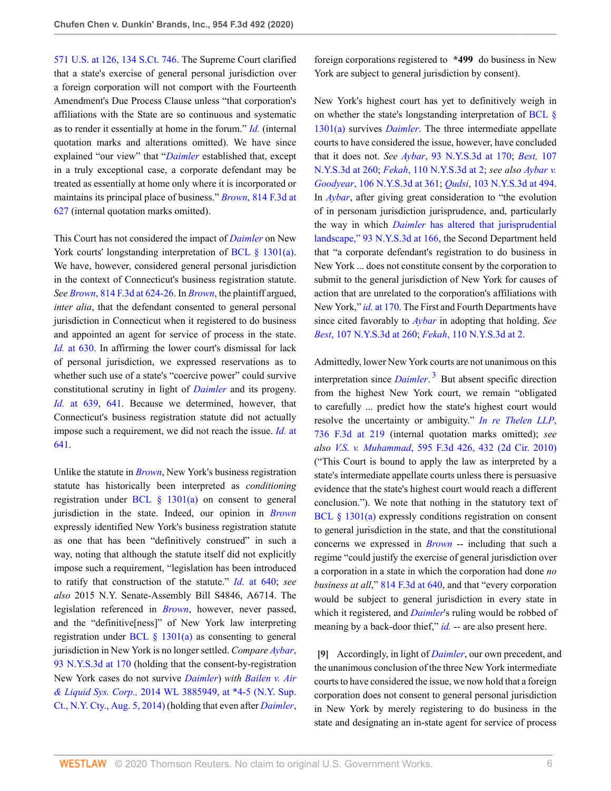[571 U.S. at 126, 134 S.Ct. 746](http://www.westlaw.com/Link/Document/FullText?findType=Y&serNum=2032535459&pubNum=0000780&originatingDoc=I53417de0738f11ea99df8ae889484d86&refType=RP&fi=co_pp_sp_780_126&originationContext=document&vr=3.0&rs=cblt1.0&transitionType=DocumentItem&contextData=(sc.UserEnteredCitation)#co_pp_sp_780_126). The Supreme Court clarified that a state's exercise of general personal jurisdiction over a foreign corporation will not comport with the Fourteenth Amendment's Due Process Clause unless "that corporation's affiliations with the State are so continuous and systematic as to render it essentially at home in the forum." *[Id.](http://www.westlaw.com/Link/Document/FullText?findType=Y&serNum=2032535459&pubNum=0000780&originatingDoc=I53417de0738f11ea99df8ae889484d86&refType=RP&originationContext=document&vr=3.0&rs=cblt1.0&transitionType=DocumentItem&contextData=(sc.UserEnteredCitation))* (internal quotation marks and alterations omitted). We have since explained "our view" that "*[Daimler](http://www.westlaw.com/Link/Document/FullText?findType=Y&serNum=2032535459&pubNum=0000780&originatingDoc=I53417de0738f11ea99df8ae889484d86&refType=RP&originationContext=document&vr=3.0&rs=cblt1.0&transitionType=DocumentItem&contextData=(sc.UserEnteredCitation))* established that, except in a truly exceptional case, a corporate defendant may be treated as essentially at home only where it is incorporated or maintains its principal place of business." *Brown*[, 814 F.3d at](http://www.westlaw.com/Link/Document/FullText?findType=Y&serNum=2038306522&pubNum=0000506&originatingDoc=I53417de0738f11ea99df8ae889484d86&refType=RP&fi=co_pp_sp_506_627&originationContext=document&vr=3.0&rs=cblt1.0&transitionType=DocumentItem&contextData=(sc.UserEnteredCitation)#co_pp_sp_506_627) [627](http://www.westlaw.com/Link/Document/FullText?findType=Y&serNum=2038306522&pubNum=0000506&originatingDoc=I53417de0738f11ea99df8ae889484d86&refType=RP&fi=co_pp_sp_506_627&originationContext=document&vr=3.0&rs=cblt1.0&transitionType=DocumentItem&contextData=(sc.UserEnteredCitation)#co_pp_sp_506_627) (internal quotation marks omitted).

This Court has not considered the impact of *[Daimler](http://www.westlaw.com/Link/Document/FullText?findType=Y&serNum=2032535459&pubNum=0000780&originatingDoc=I53417de0738f11ea99df8ae889484d86&refType=RP&originationContext=document&vr=3.0&rs=cblt1.0&transitionType=DocumentItem&contextData=(sc.UserEnteredCitation))* on New York courts' longstanding interpretation of [BCL § 1301\(a\)](http://www.westlaw.com/Link/Document/FullText?findType=L&pubNum=1000057&cite=NYBUS1301&originatingDoc=I53417de0738f11ea99df8ae889484d86&refType=SP&originationContext=document&vr=3.0&rs=cblt1.0&transitionType=DocumentItem&contextData=(sc.UserEnteredCitation)#co_pp_8b3b0000958a4). We have, however, considered general personal jurisdiction in the context of Connecticut's business registration statute. *See Brown*[, 814 F.3d at 624-26](http://www.westlaw.com/Link/Document/FullText?findType=Y&serNum=2038306522&pubNum=0000506&originatingDoc=I53417de0738f11ea99df8ae889484d86&refType=RP&fi=co_pp_sp_506_624&originationContext=document&vr=3.0&rs=cblt1.0&transitionType=DocumentItem&contextData=(sc.UserEnteredCitation)#co_pp_sp_506_624). In *[Brown](http://www.westlaw.com/Link/Document/FullText?findType=Y&serNum=2038306522&pubNum=0000506&originatingDoc=I53417de0738f11ea99df8ae889484d86&refType=RP&originationContext=document&vr=3.0&rs=cblt1.0&transitionType=DocumentItem&contextData=(sc.UserEnteredCitation))*, the plaintiff argued, *inter alia*, that the defendant consented to general personal jurisdiction in Connecticut when it registered to do business and appointed an agent for service of process in the state. *Id.* [at 630](http://www.westlaw.com/Link/Document/FullText?findType=Y&serNum=2038306522&pubNum=0000506&originatingDoc=I53417de0738f11ea99df8ae889484d86&refType=RP&fi=co_pp_sp_506_630&originationContext=document&vr=3.0&rs=cblt1.0&transitionType=DocumentItem&contextData=(sc.UserEnteredCitation)#co_pp_sp_506_630). In affirming the lower court's dismissal for lack of personal jurisdiction, we expressed reservations as to whether such use of a state's "coercive power" could survive constitutional scrutiny in light of *[Daimler](http://www.westlaw.com/Link/Document/FullText?findType=Y&serNum=2032535459&pubNum=0000780&originatingDoc=I53417de0738f11ea99df8ae889484d86&refType=RP&originationContext=document&vr=3.0&rs=cblt1.0&transitionType=DocumentItem&contextData=(sc.UserEnteredCitation))* and its progeny. *Id.* [at 639, 641.](http://www.westlaw.com/Link/Document/FullText?findType=Y&serNum=2038306522&pubNum=0000506&originatingDoc=I53417de0738f11ea99df8ae889484d86&refType=RP&fi=co_pp_sp_506_639&originationContext=document&vr=3.0&rs=cblt1.0&transitionType=DocumentItem&contextData=(sc.UserEnteredCitation)#co_pp_sp_506_639) Because we determined, however, that Connecticut's business registration statute did not actually impose such a requirement, we did not reach the issue. *[Id.](http://www.westlaw.com/Link/Document/FullText?findType=Y&serNum=2038306522&pubNum=0000506&originatingDoc=I53417de0738f11ea99df8ae889484d86&refType=RP&fi=co_pp_sp_506_641&originationContext=document&vr=3.0&rs=cblt1.0&transitionType=DocumentItem&contextData=(sc.UserEnteredCitation)#co_pp_sp_506_641)* at [641](http://www.westlaw.com/Link/Document/FullText?findType=Y&serNum=2038306522&pubNum=0000506&originatingDoc=I53417de0738f11ea99df8ae889484d86&refType=RP&fi=co_pp_sp_506_641&originationContext=document&vr=3.0&rs=cblt1.0&transitionType=DocumentItem&contextData=(sc.UserEnteredCitation)#co_pp_sp_506_641).

Unlike the statute in *[Brown](http://www.westlaw.com/Link/Document/FullText?findType=Y&serNum=2038306522&pubNum=0000506&originatingDoc=I53417de0738f11ea99df8ae889484d86&refType=RP&originationContext=document&vr=3.0&rs=cblt1.0&transitionType=DocumentItem&contextData=(sc.UserEnteredCitation))*, New York's business registration statute has historically been interpreted as *conditioning* registration under BCL  $\S$  1301(a) on consent to general jurisdiction in the state. Indeed, our opinion in *[Brown](http://www.westlaw.com/Link/Document/FullText?findType=Y&serNum=2038306522&pubNum=0000506&originatingDoc=I53417de0738f11ea99df8ae889484d86&refType=RP&originationContext=document&vr=3.0&rs=cblt1.0&transitionType=DocumentItem&contextData=(sc.UserEnteredCitation))* expressly identified New York's business registration statute as one that has been "definitively construed" in such a way, noting that although the statute itself did not explicitly impose such a requirement, "legislation has been introduced to ratify that construction of the statute." *Id.* [at 640;](http://www.westlaw.com/Link/Document/FullText?findType=Y&serNum=2038306522&pubNum=0000506&originatingDoc=I53417de0738f11ea99df8ae889484d86&refType=RP&fi=co_pp_sp_506_640&originationContext=document&vr=3.0&rs=cblt1.0&transitionType=DocumentItem&contextData=(sc.UserEnteredCitation)#co_pp_sp_506_640) *see also* 2015 N.Y. Senate-Assembly Bill S4846, A6714. The legislation referenced in *[Brown](http://www.westlaw.com/Link/Document/FullText?findType=Y&serNum=2038306522&pubNum=0000506&originatingDoc=I53417de0738f11ea99df8ae889484d86&refType=RP&originationContext=document&vr=3.0&rs=cblt1.0&transitionType=DocumentItem&contextData=(sc.UserEnteredCitation))*, however, never passed, and the "definitive[ness]" of New York law interpreting registration under [BCL § 1301\(a\)](http://www.westlaw.com/Link/Document/FullText?findType=L&pubNum=1000057&cite=NYBUS1301&originatingDoc=I53417de0738f11ea99df8ae889484d86&refType=SP&originationContext=document&vr=3.0&rs=cblt1.0&transitionType=DocumentItem&contextData=(sc.UserEnteredCitation)#co_pp_8b3b0000958a4) as consenting to general jurisdiction in New York is no longer settled. *Compare [Aybar](http://www.westlaw.com/Link/Document/FullText?findType=Y&serNum=2047380280&pubNum=0007980&originatingDoc=I53417de0738f11ea99df8ae889484d86&refType=RP&fi=co_pp_sp_7980_170&originationContext=document&vr=3.0&rs=cblt1.0&transitionType=DocumentItem&contextData=(sc.UserEnteredCitation)#co_pp_sp_7980_170)*, [93 N.Y.S.3d at 170](http://www.westlaw.com/Link/Document/FullText?findType=Y&serNum=2047380280&pubNum=0007980&originatingDoc=I53417de0738f11ea99df8ae889484d86&refType=RP&fi=co_pp_sp_7980_170&originationContext=document&vr=3.0&rs=cblt1.0&transitionType=DocumentItem&contextData=(sc.UserEnteredCitation)#co_pp_sp_7980_170) (holding that the consent-by-registration New York cases do not survive *[Daimler](http://www.westlaw.com/Link/Document/FullText?findType=Y&serNum=2032535459&pubNum=0000780&originatingDoc=I53417de0738f11ea99df8ae889484d86&refType=RP&originationContext=document&vr=3.0&rs=cblt1.0&transitionType=DocumentItem&contextData=(sc.UserEnteredCitation))*) *with [Bailen v. Air](http://www.westlaw.com/Link/Document/FullText?findType=Y&serNum=2034063169&pubNum=0000999&originatingDoc=I53417de0738f11ea99df8ae889484d86&refType=RP&originationContext=document&vr=3.0&rs=cblt1.0&transitionType=DocumentItem&contextData=(sc.UserEnteredCitation)) & Liquid Sys. Corp.,* [2014 WL 3885949, at \\*4-5 \(N.Y. Sup.](http://www.westlaw.com/Link/Document/FullText?findType=Y&serNum=2034063169&pubNum=0000999&originatingDoc=I53417de0738f11ea99df8ae889484d86&refType=RP&originationContext=document&vr=3.0&rs=cblt1.0&transitionType=DocumentItem&contextData=(sc.UserEnteredCitation)) [Ct., N.Y. Cty., Aug. 5, 2014\)](http://www.westlaw.com/Link/Document/FullText?findType=Y&serNum=2034063169&pubNum=0000999&originatingDoc=I53417de0738f11ea99df8ae889484d86&refType=RP&originationContext=document&vr=3.0&rs=cblt1.0&transitionType=DocumentItem&contextData=(sc.UserEnteredCitation)) (holding that even after *[Daimler](http://www.westlaw.com/Link/Document/FullText?findType=Y&serNum=2032535459&pubNum=0000780&originatingDoc=I53417de0738f11ea99df8ae889484d86&refType=RP&originationContext=document&vr=3.0&rs=cblt1.0&transitionType=DocumentItem&contextData=(sc.UserEnteredCitation))*, foreign corporations registered to **\*499** do business in New York are subject to general jurisdiction by consent).

New York's highest court has yet to definitively weigh in on whether the state's longstanding interpretation of [BCL §](http://www.westlaw.com/Link/Document/FullText?findType=L&pubNum=1000057&cite=NYBUS1301&originatingDoc=I53417de0738f11ea99df8ae889484d86&refType=SP&originationContext=document&vr=3.0&rs=cblt1.0&transitionType=DocumentItem&contextData=(sc.UserEnteredCitation)#co_pp_8b3b0000958a4) [1301\(a\)](http://www.westlaw.com/Link/Document/FullText?findType=L&pubNum=1000057&cite=NYBUS1301&originatingDoc=I53417de0738f11ea99df8ae889484d86&refType=SP&originationContext=document&vr=3.0&rs=cblt1.0&transitionType=DocumentItem&contextData=(sc.UserEnteredCitation)#co_pp_8b3b0000958a4) survives *[Daimler](http://www.westlaw.com/Link/Document/FullText?findType=Y&serNum=2032535459&pubNum=0000780&originatingDoc=I53417de0738f11ea99df8ae889484d86&refType=RP&originationContext=document&vr=3.0&rs=cblt1.0&transitionType=DocumentItem&contextData=(sc.UserEnteredCitation))*. The three intermediate appellate courts to have considered the issue, however, have concluded that it does not. *See Aybar*[, 93 N.Y.S.3d at 170;](http://www.westlaw.com/Link/Document/FullText?findType=Y&serNum=2047380280&pubNum=0007980&originatingDoc=I53417de0738f11ea99df8ae889484d86&refType=RP&fi=co_pp_sp_7980_170&originationContext=document&vr=3.0&rs=cblt1.0&transitionType=DocumentItem&contextData=(sc.UserEnteredCitation)#co_pp_sp_7980_170) *[Best,](http://www.westlaw.com/Link/Document/FullText?findType=Y&serNum=2048962485&pubNum=0007980&originatingDoc=I53417de0738f11ea99df8ae889484d86&refType=RP&fi=co_pp_sp_7980_260&originationContext=document&vr=3.0&rs=cblt1.0&transitionType=DocumentItem&contextData=(sc.UserEnteredCitation)#co_pp_sp_7980_260)* 107 [N.Y.S.3d at 260;](http://www.westlaw.com/Link/Document/FullText?findType=Y&serNum=2048962485&pubNum=0007980&originatingDoc=I53417de0738f11ea99df8ae889484d86&refType=RP&fi=co_pp_sp_7980_260&originationContext=document&vr=3.0&rs=cblt1.0&transitionType=DocumentItem&contextData=(sc.UserEnteredCitation)#co_pp_sp_7980_260) *Fekah*[, 110 N.Y.S.3d at 2](http://www.westlaw.com/Link/Document/FullText?findType=Y&serNum=2049422049&pubNum=0007980&originatingDoc=I53417de0738f11ea99df8ae889484d86&refType=RP&fi=co_pp_sp_7980_2&originationContext=document&vr=3.0&rs=cblt1.0&transitionType=DocumentItem&contextData=(sc.UserEnteredCitation)#co_pp_sp_7980_2); *see also [Aybar v.](http://www.westlaw.com/Link/Document/FullText?findType=Y&serNum=2049208426&pubNum=0007980&originatingDoc=I53417de0738f11ea99df8ae889484d86&refType=RP&fi=co_pp_sp_7980_361&originationContext=document&vr=3.0&rs=cblt1.0&transitionType=DocumentItem&contextData=(sc.UserEnteredCitation)#co_pp_sp_7980_361) Goodyear*[, 106 N.Y.S.3d at 361;](http://www.westlaw.com/Link/Document/FullText?findType=Y&serNum=2049208426&pubNum=0007980&originatingDoc=I53417de0738f11ea99df8ae889484d86&refType=RP&fi=co_pp_sp_7980_361&originationContext=document&vr=3.0&rs=cblt1.0&transitionType=DocumentItem&contextData=(sc.UserEnteredCitation)#co_pp_sp_7980_361) *Qudsi*[, 103 N.Y.S.3d at 494.](http://www.westlaw.com/Link/Document/FullText?findType=Y&serNum=2048467531&pubNum=0007980&originatingDoc=I53417de0738f11ea99df8ae889484d86&refType=RP&fi=co_pp_sp_7980_494&originationContext=document&vr=3.0&rs=cblt1.0&transitionType=DocumentItem&contextData=(sc.UserEnteredCitation)#co_pp_sp_7980_494) In *[Aybar](http://www.westlaw.com/Link/Document/FullText?findType=Y&serNum=2047380280&pubNum=0007980&originatingDoc=I53417de0738f11ea99df8ae889484d86&refType=RP&originationContext=document&vr=3.0&rs=cblt1.0&transitionType=DocumentItem&contextData=(sc.UserEnteredCitation))*, after giving great consideration to "the evolution of in personam jurisdiction jurisprudence, and, particularly the way in which *Daimler* [has altered that jurisprudential](http://www.westlaw.com/Link/Document/FullText?findType=Y&serNum=2047380280&pubNum=0007980&originatingDoc=I53417de0738f11ea99df8ae889484d86&refType=RP&fi=co_pp_sp_7980_166&originationContext=document&vr=3.0&rs=cblt1.0&transitionType=DocumentItem&contextData=(sc.UserEnteredCitation)#co_pp_sp_7980_166) [landscape," 93 N.Y.S.3d at 166,](http://www.westlaw.com/Link/Document/FullText?findType=Y&serNum=2047380280&pubNum=0007980&originatingDoc=I53417de0738f11ea99df8ae889484d86&refType=RP&fi=co_pp_sp_7980_166&originationContext=document&vr=3.0&rs=cblt1.0&transitionType=DocumentItem&contextData=(sc.UserEnteredCitation)#co_pp_sp_7980_166) the Second Department held that "a corporate defendant's registration to do business in New York ... does not constitute consent by the corporation to submit to the general jurisdiction of New York for causes of action that are unrelated to the corporation's affiliations with New York," *id.* [at 170.](http://www.westlaw.com/Link/Document/FullText?findType=Y&serNum=2047380280&pubNum=0007980&originatingDoc=I53417de0738f11ea99df8ae889484d86&refType=RP&fi=co_pp_sp_7980_170&originationContext=document&vr=3.0&rs=cblt1.0&transitionType=DocumentItem&contextData=(sc.UserEnteredCitation)#co_pp_sp_7980_170) The First and Fourth Departments have since cited favorably to *[Aybar](http://www.westlaw.com/Link/Document/FullText?findType=Y&serNum=2047380280&pubNum=0007980&originatingDoc=I53417de0738f11ea99df8ae889484d86&refType=RP&originationContext=document&vr=3.0&rs=cblt1.0&transitionType=DocumentItem&contextData=(sc.UserEnteredCitation))* in adopting that holding. *See Best*[, 107 N.Y.S.3d at 260](http://www.westlaw.com/Link/Document/FullText?findType=Y&serNum=2048962485&pubNum=0007980&originatingDoc=I53417de0738f11ea99df8ae889484d86&refType=RP&fi=co_pp_sp_7980_260&originationContext=document&vr=3.0&rs=cblt1.0&transitionType=DocumentItem&contextData=(sc.UserEnteredCitation)#co_pp_sp_7980_260); *Fekah*[, 110 N.Y.S.3d at 2.](http://www.westlaw.com/Link/Document/FullText?findType=Y&serNum=2049422049&pubNum=0007980&originatingDoc=I53417de0738f11ea99df8ae889484d86&refType=RP&fi=co_pp_sp_7980_2&originationContext=document&vr=3.0&rs=cblt1.0&transitionType=DocumentItem&contextData=(sc.UserEnteredCitation)#co_pp_sp_7980_2)

<span id="page-5-1"></span>Admittedly, lower New York courts are not unanimous on this interpretation since *[Daimler](http://www.westlaw.com/Link/Document/FullText?findType=Y&serNum=2032535459&pubNum=0000780&originatingDoc=I53417de0738f11ea99df8ae889484d86&refType=RP&originationContext=document&vr=3.0&rs=cblt1.0&transitionType=DocumentItem&contextData=(sc.UserEnteredCitation))*. [3](#page-7-2) But absent specific direction from the highest New York court, we remain "obligated to carefully ... predict how the state's highest court would resolve the uncertainty or ambiguity." *[In re Thelen LLP](http://www.westlaw.com/Link/Document/FullText?findType=Y&serNum=2031966021&pubNum=0000506&originatingDoc=I53417de0738f11ea99df8ae889484d86&refType=RP&fi=co_pp_sp_506_219&originationContext=document&vr=3.0&rs=cblt1.0&transitionType=DocumentItem&contextData=(sc.UserEnteredCitation)#co_pp_sp_506_219)*, [736 F.3d at 219](http://www.westlaw.com/Link/Document/FullText?findType=Y&serNum=2031966021&pubNum=0000506&originatingDoc=I53417de0738f11ea99df8ae889484d86&refType=RP&fi=co_pp_sp_506_219&originationContext=document&vr=3.0&rs=cblt1.0&transitionType=DocumentItem&contextData=(sc.UserEnteredCitation)#co_pp_sp_506_219) (internal quotation marks omitted); *see also V.S. v. Muhammad*[, 595 F.3d 426, 432 \(2d Cir. 2010\)](http://www.westlaw.com/Link/Document/FullText?findType=Y&serNum=2021361760&pubNum=0000506&originatingDoc=I53417de0738f11ea99df8ae889484d86&refType=RP&fi=co_pp_sp_506_432&originationContext=document&vr=3.0&rs=cblt1.0&transitionType=DocumentItem&contextData=(sc.UserEnteredCitation)#co_pp_sp_506_432) ("This Court is bound to apply the law as interpreted by a state's intermediate appellate courts unless there is persuasive evidence that the state's highest court would reach a different conclusion."). We note that nothing in the statutory text of [BCL § 1301\(a\)](http://www.westlaw.com/Link/Document/FullText?findType=L&pubNum=1000057&cite=NYBUS1301&originatingDoc=I53417de0738f11ea99df8ae889484d86&refType=SP&originationContext=document&vr=3.0&rs=cblt1.0&transitionType=DocumentItem&contextData=(sc.UserEnteredCitation)#co_pp_8b3b0000958a4) expressly conditions registration on consent to general jurisdiction in the state, and that the constitutional concerns we expressed in *[Brown](http://www.westlaw.com/Link/Document/FullText?findType=Y&serNum=2038306522&pubNum=0000506&originatingDoc=I53417de0738f11ea99df8ae889484d86&refType=RP&originationContext=document&vr=3.0&rs=cblt1.0&transitionType=DocumentItem&contextData=(sc.UserEnteredCitation))* -- including that such a regime "could justify the exercise of general jurisdiction over a corporation in a state in which the corporation had done *no business at all*," [814 F.3d at 640](http://www.westlaw.com/Link/Document/FullText?findType=Y&serNum=2038306522&pubNum=0000506&originatingDoc=I53417de0738f11ea99df8ae889484d86&refType=RP&fi=co_pp_sp_506_640&originationContext=document&vr=3.0&rs=cblt1.0&transitionType=DocumentItem&contextData=(sc.UserEnteredCitation)#co_pp_sp_506_640), and that "every corporation would be subject to general jurisdiction in every state in which it registered, and *[Daimler](http://www.westlaw.com/Link/Document/FullText?findType=Y&serNum=2032535459&originatingDoc=I53417de0738f11ea99df8ae889484d86&refType=RP&originationContext=document&vr=3.0&rs=cblt1.0&transitionType=DocumentItem&contextData=(sc.UserEnteredCitation))*'s ruling would be robbed of meaning by a back-door thief," *[id.](http://www.westlaw.com/Link/Document/FullText?findType=Y&serNum=2038306522&pubNum=0000506&originatingDoc=I53417de0738f11ea99df8ae889484d86&refType=RP&originationContext=document&vr=3.0&rs=cblt1.0&transitionType=DocumentItem&contextData=(sc.UserEnteredCitation))* -- are also present here.

<span id="page-5-0"></span>**[\[9\]](#page-1-0)** Accordingly, in light of *[Daimler](http://www.westlaw.com/Link/Document/FullText?findType=Y&serNum=2032535459&pubNum=0000780&originatingDoc=I53417de0738f11ea99df8ae889484d86&refType=RP&originationContext=document&vr=3.0&rs=cblt1.0&transitionType=DocumentItem&contextData=(sc.UserEnteredCitation))*, our own precedent, and the unanimous conclusion of the three New York intermediate courts to have considered the issue, we now hold that a foreign corporation does not consent to general personal jurisdiction in New York by merely registering to do business in the state and designating an in-state agent for service of process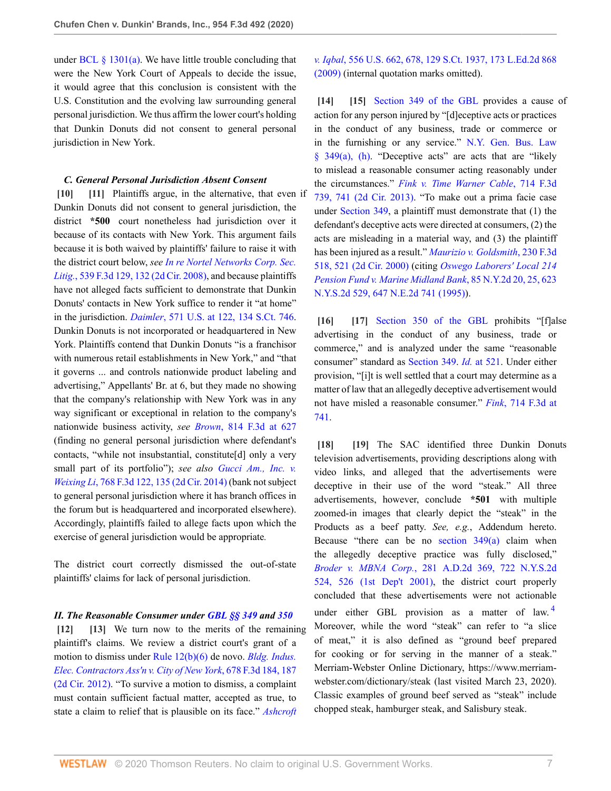under BCL  $\S$  1301(a). We have little trouble concluding that were the New York Court of Appeals to decide the issue, it would agree that this conclusion is consistent with the U.S. Constitution and the evolving law surrounding general personal jurisdiction. We thus affirm the lower court's holding that Dunkin Donuts did not consent to general personal jurisdiction in New York.

#### <span id="page-6-1"></span><span id="page-6-0"></span>*C. General Personal Jurisdiction Absent Consent*

**[\[10\]](#page-1-1) [\[11\]](#page-1-2)** Plaintiffs argue, in the alternative, that even if Dunkin Donuts did not consent to general jurisdiction, the district **\*500** court nonetheless had jurisdiction over it because of its contacts with New York. This argument fails because it is both waived by plaintiffs' failure to raise it with the district court below, *see [In re Nortel Networks Corp. Sec.](http://www.westlaw.com/Link/Document/FullText?findType=Y&serNum=2016784122&pubNum=0000506&originatingDoc=I53417de0738f11ea99df8ae889484d86&refType=RP&fi=co_pp_sp_506_132&originationContext=document&vr=3.0&rs=cblt1.0&transitionType=DocumentItem&contextData=(sc.UserEnteredCitation)#co_pp_sp_506_132) Litig.*[, 539 F.3d 129, 132 \(2d Cir. 2008\)](http://www.westlaw.com/Link/Document/FullText?findType=Y&serNum=2016784122&pubNum=0000506&originatingDoc=I53417de0738f11ea99df8ae889484d86&refType=RP&fi=co_pp_sp_506_132&originationContext=document&vr=3.0&rs=cblt1.0&transitionType=DocumentItem&contextData=(sc.UserEnteredCitation)#co_pp_sp_506_132), and because plaintiffs have not alleged facts sufficient to demonstrate that Dunkin Donuts' contacts in New York suffice to render it "at home" in the jurisdiction. *Daimler*[, 571 U.S. at 122, 134 S.Ct. 746](http://www.westlaw.com/Link/Document/FullText?findType=Y&serNum=2032535459&pubNum=0000780&originatingDoc=I53417de0738f11ea99df8ae889484d86&refType=RP&fi=co_pp_sp_780_122&originationContext=document&vr=3.0&rs=cblt1.0&transitionType=DocumentItem&contextData=(sc.UserEnteredCitation)#co_pp_sp_780_122). Dunkin Donuts is not incorporated or headquartered in New York. Plaintiffs contend that Dunkin Donuts "is a franchisor with numerous retail establishments in New York," and "that it governs ... and controls nationwide product labeling and advertising," Appellants' Br. at 6, but they made no showing that the company's relationship with New York was in any way significant or exceptional in relation to the company's nationwide business activity, *see Brown*[, 814 F.3d at 627](http://www.westlaw.com/Link/Document/FullText?findType=Y&serNum=2038306522&pubNum=0000506&originatingDoc=I53417de0738f11ea99df8ae889484d86&refType=RP&fi=co_pp_sp_506_627&originationContext=document&vr=3.0&rs=cblt1.0&transitionType=DocumentItem&contextData=(sc.UserEnteredCitation)#co_pp_sp_506_627) (finding no general personal jurisdiction where defendant's contacts, "while not insubstantial, constitute[d] only a very small part of its portfolio"); *see also [Gucci Am., Inc. v.](http://www.westlaw.com/Link/Document/FullText?findType=Y&serNum=2034338790&pubNum=0000506&originatingDoc=I53417de0738f11ea99df8ae889484d86&refType=RP&fi=co_pp_sp_506_135&originationContext=document&vr=3.0&rs=cblt1.0&transitionType=DocumentItem&contextData=(sc.UserEnteredCitation)#co_pp_sp_506_135) Weixing Li*[, 768 F.3d 122, 135 \(2d Cir. 2014\)](http://www.westlaw.com/Link/Document/FullText?findType=Y&serNum=2034338790&pubNum=0000506&originatingDoc=I53417de0738f11ea99df8ae889484d86&refType=RP&fi=co_pp_sp_506_135&originationContext=document&vr=3.0&rs=cblt1.0&transitionType=DocumentItem&contextData=(sc.UserEnteredCitation)#co_pp_sp_506_135) (bank not subject to general personal jurisdiction where it has branch offices in the forum but is headquartered and incorporated elsewhere). Accordingly, plaintiffs failed to allege facts upon which the exercise of general jurisdiction would be appropriate*.*

The district court correctly dismissed the out-of-state plaintiffs' claims for lack of personal jurisdiction.

*II. The Reasonable Consumer under [GBL §§ 349](http://www.westlaw.com/Link/Document/FullText?findType=L&pubNum=1000081&cite=NYGBS349&originatingDoc=I53417de0738f11ea99df8ae889484d86&refType=LQ&originationContext=document&vr=3.0&rs=cblt1.0&transitionType=DocumentItem&contextData=(sc.UserEnteredCitation)) and [350](http://www.westlaw.com/Link/Document/FullText?findType=L&pubNum=1000081&cite=NYGBS350&originatingDoc=I53417de0738f11ea99df8ae889484d86&refType=LQ&originationContext=document&vr=3.0&rs=cblt1.0&transitionType=DocumentItem&contextData=(sc.UserEnteredCitation))*

<span id="page-6-3"></span><span id="page-6-2"></span>**[\[12\]](#page-1-7) [\[13](#page-1-8)]** We turn now to the merits of the remaining plaintiff's claims. We review a district court's grant of a motion to dismiss under [Rule 12\(b\)\(6\)](http://www.westlaw.com/Link/Document/FullText?findType=L&pubNum=1000600&cite=USFRCPR12&originatingDoc=I53417de0738f11ea99df8ae889484d86&refType=LQ&originationContext=document&vr=3.0&rs=cblt1.0&transitionType=DocumentItem&contextData=(sc.UserEnteredCitation)) de novo. *[Bldg. Indus.](http://www.westlaw.com/Link/Document/FullText?findType=Y&serNum=2027631974&pubNum=0000506&originatingDoc=I53417de0738f11ea99df8ae889484d86&refType=RP&fi=co_pp_sp_506_187&originationContext=document&vr=3.0&rs=cblt1.0&transitionType=DocumentItem&contextData=(sc.UserEnteredCitation)#co_pp_sp_506_187) [Elec. Contractors Ass'n v. City of New York](http://www.westlaw.com/Link/Document/FullText?findType=Y&serNum=2027631974&pubNum=0000506&originatingDoc=I53417de0738f11ea99df8ae889484d86&refType=RP&fi=co_pp_sp_506_187&originationContext=document&vr=3.0&rs=cblt1.0&transitionType=DocumentItem&contextData=(sc.UserEnteredCitation)#co_pp_sp_506_187)*, 678 F.3d 184, 187 [\(2d Cir. 2012\).](http://www.westlaw.com/Link/Document/FullText?findType=Y&serNum=2027631974&pubNum=0000506&originatingDoc=I53417de0738f11ea99df8ae889484d86&refType=RP&fi=co_pp_sp_506_187&originationContext=document&vr=3.0&rs=cblt1.0&transitionType=DocumentItem&contextData=(sc.UserEnteredCitation)#co_pp_sp_506_187) "To survive a motion to dismiss, a complaint must contain sufficient factual matter, accepted as true, to state a claim to relief that is plausible on its face." *[Ashcroft](http://www.westlaw.com/Link/Document/FullText?findType=Y&serNum=2018848474&pubNum=0000780&originatingDoc=I53417de0738f11ea99df8ae889484d86&refType=RP&fi=co_pp_sp_780_678&originationContext=document&vr=3.0&rs=cblt1.0&transitionType=DocumentItem&contextData=(sc.UserEnteredCitation)#co_pp_sp_780_678)*

*v. Iqbal*[, 556 U.S. 662, 678, 129 S.Ct. 1937, 173 L.Ed.2d 868](http://www.westlaw.com/Link/Document/FullText?findType=Y&serNum=2018848474&pubNum=0000780&originatingDoc=I53417de0738f11ea99df8ae889484d86&refType=RP&fi=co_pp_sp_780_678&originationContext=document&vr=3.0&rs=cblt1.0&transitionType=DocumentItem&contextData=(sc.UserEnteredCitation)#co_pp_sp_780_678) [\(2009\)](http://www.westlaw.com/Link/Document/FullText?findType=Y&serNum=2018848474&pubNum=0000780&originatingDoc=I53417de0738f11ea99df8ae889484d86&refType=RP&fi=co_pp_sp_780_678&originationContext=document&vr=3.0&rs=cblt1.0&transitionType=DocumentItem&contextData=(sc.UserEnteredCitation)#co_pp_sp_780_678) (internal quotation marks omitted).

<span id="page-6-5"></span><span id="page-6-4"></span>**[\[14\]](#page-2-1) [\[15\]](#page-2-2)** [Section 349 of the GBL](http://www.westlaw.com/Link/Document/FullText?findType=L&pubNum=1000081&cite=NYGBS349&originatingDoc=I53417de0738f11ea99df8ae889484d86&refType=LQ&originationContext=document&vr=3.0&rs=cblt1.0&transitionType=DocumentItem&contextData=(sc.UserEnteredCitation)) provides a cause of action for any person injured by "[d]eceptive acts or practices in the conduct of any business, trade or commerce or in the furnishing or any service." [N.Y. Gen. Bus. Law](http://www.westlaw.com/Link/Document/FullText?findType=L&pubNum=1000081&cite=NYGBS349&originatingDoc=I53417de0738f11ea99df8ae889484d86&refType=SP&originationContext=document&vr=3.0&rs=cblt1.0&transitionType=DocumentItem&contextData=(sc.UserEnteredCitation)#co_pp_8b3b0000958a4)  $§$  349(a), (h). "Deceptive acts" are acts that are "likely to mislead a reasonable consumer acting reasonably under the circumstances." *[Fink v. Time Warner Cable](http://www.westlaw.com/Link/Document/FullText?findType=Y&serNum=2030470437&pubNum=0000506&originatingDoc=I53417de0738f11ea99df8ae889484d86&refType=RP&fi=co_pp_sp_506_741&originationContext=document&vr=3.0&rs=cblt1.0&transitionType=DocumentItem&contextData=(sc.UserEnteredCitation)#co_pp_sp_506_741)*, 714 F.3d [739, 741 \(2d Cir. 2013\).](http://www.westlaw.com/Link/Document/FullText?findType=Y&serNum=2030470437&pubNum=0000506&originatingDoc=I53417de0738f11ea99df8ae889484d86&refType=RP&fi=co_pp_sp_506_741&originationContext=document&vr=3.0&rs=cblt1.0&transitionType=DocumentItem&contextData=(sc.UserEnteredCitation)#co_pp_sp_506_741) "To make out a prima facie case under [Section 349](http://www.westlaw.com/Link/Document/FullText?findType=L&pubNum=1000081&cite=NYGBS349&originatingDoc=I53417de0738f11ea99df8ae889484d86&refType=LQ&originationContext=document&vr=3.0&rs=cblt1.0&transitionType=DocumentItem&contextData=(sc.UserEnteredCitation)), a plaintiff must demonstrate that (1) the defendant's deceptive acts were directed at consumers, (2) the acts are misleading in a material way, and (3) the plaintiff has been injured as a result." *[Maurizio v. Goldsmith](http://www.westlaw.com/Link/Document/FullText?findType=Y&serNum=2000595524&pubNum=0000506&originatingDoc=I53417de0738f11ea99df8ae889484d86&refType=RP&fi=co_pp_sp_506_521&originationContext=document&vr=3.0&rs=cblt1.0&transitionType=DocumentItem&contextData=(sc.UserEnteredCitation)#co_pp_sp_506_521)*, 230 F.3d [518, 521 \(2d Cir. 2000\)](http://www.westlaw.com/Link/Document/FullText?findType=Y&serNum=2000595524&pubNum=0000506&originatingDoc=I53417de0738f11ea99df8ae889484d86&refType=RP&fi=co_pp_sp_506_521&originationContext=document&vr=3.0&rs=cblt1.0&transitionType=DocumentItem&contextData=(sc.UserEnteredCitation)#co_pp_sp_506_521) (citing *[Oswego Laborers' Local 214](http://www.westlaw.com/Link/Document/FullText?findType=Y&serNum=1995047643&pubNum=0000605&originatingDoc=I53417de0738f11ea99df8ae889484d86&refType=RP&fi=co_pp_sp_605_25&originationContext=document&vr=3.0&rs=cblt1.0&transitionType=DocumentItem&contextData=(sc.UserEnteredCitation)#co_pp_sp_605_25) [Pension Fund v. Marine Midland Bank](http://www.westlaw.com/Link/Document/FullText?findType=Y&serNum=1995047643&pubNum=0000605&originatingDoc=I53417de0738f11ea99df8ae889484d86&refType=RP&fi=co_pp_sp_605_25&originationContext=document&vr=3.0&rs=cblt1.0&transitionType=DocumentItem&contextData=(sc.UserEnteredCitation)#co_pp_sp_605_25)*, 85 N.Y.2d 20, 25, 623 [N.Y.S.2d 529, 647 N.E.2d 741 \(1995\)](http://www.westlaw.com/Link/Document/FullText?findType=Y&serNum=1995047643&pubNum=0000605&originatingDoc=I53417de0738f11ea99df8ae889484d86&refType=RP&fi=co_pp_sp_605_25&originationContext=document&vr=3.0&rs=cblt1.0&transitionType=DocumentItem&contextData=(sc.UserEnteredCitation)#co_pp_sp_605_25)).

<span id="page-6-7"></span><span id="page-6-6"></span>[\[16\]](#page-2-3) [\[17\]](#page-2-4) [Section 350 of the GBL](http://www.westlaw.com/Link/Document/FullText?findType=L&pubNum=1000081&cite=NYGBS350&originatingDoc=I53417de0738f11ea99df8ae889484d86&refType=LQ&originationContext=document&vr=3.0&rs=cblt1.0&transitionType=DocumentItem&contextData=(sc.UserEnteredCitation)) prohibits "[f]alse advertising in the conduct of any business, trade or commerce," and is analyzed under the same "reasonable consumer" standard as [Section 349](http://www.westlaw.com/Link/Document/FullText?findType=L&pubNum=1000081&cite=NYGBS349&originatingDoc=I53417de0738f11ea99df8ae889484d86&refType=LQ&originationContext=document&vr=3.0&rs=cblt1.0&transitionType=DocumentItem&contextData=(sc.UserEnteredCitation)). *Id.* [at 521.](http://www.westlaw.com/Link/Document/FullText?findType=Y&serNum=2000595524&pubNum=0000506&originatingDoc=I53417de0738f11ea99df8ae889484d86&refType=RP&fi=co_pp_sp_506_521&originationContext=document&vr=3.0&rs=cblt1.0&transitionType=DocumentItem&contextData=(sc.UserEnteredCitation)#co_pp_sp_506_521) Under either provision, "[i]t is well settled that a court may determine as a matter of law that an allegedly deceptive advertisement would not have misled a reasonable consumer." *Fink*[, 714 F.3d at](http://www.westlaw.com/Link/Document/FullText?findType=Y&serNum=2030470437&pubNum=0000506&originatingDoc=I53417de0738f11ea99df8ae889484d86&refType=RP&fi=co_pp_sp_506_741&originationContext=document&vr=3.0&rs=cblt1.0&transitionType=DocumentItem&contextData=(sc.UserEnteredCitation)#co_pp_sp_506_741) [741](http://www.westlaw.com/Link/Document/FullText?findType=Y&serNum=2030470437&pubNum=0000506&originatingDoc=I53417de0738f11ea99df8ae889484d86&refType=RP&fi=co_pp_sp_506_741&originationContext=document&vr=3.0&rs=cblt1.0&transitionType=DocumentItem&contextData=(sc.UserEnteredCitation)#co_pp_sp_506_741).

<span id="page-6-10"></span><span id="page-6-9"></span><span id="page-6-8"></span>**[\[18\]](#page-2-0) [\[19\]](#page-2-5)** The SAC identified three Dunkin Donuts television advertisements, providing descriptions along with video links, and alleged that the advertisements were deceptive in their use of the word "steak." All three advertisements, however, conclude **\*501** with multiple zoomed-in images that clearly depict the "steak" in the Products as a beef patty. *See, e.g.*, Addendum hereto. Because "there can be no section  $349(a)$  claim when the allegedly deceptive practice was fully disclosed," *Broder v. MBNA Corp.*[, 281 A.D.2d 369, 722 N.Y.S.2d](http://www.westlaw.com/Link/Document/FullText?findType=Y&serNum=2001260394&pubNum=0000602&originatingDoc=I53417de0738f11ea99df8ae889484d86&refType=RP&fi=co_pp_sp_602_526&originationContext=document&vr=3.0&rs=cblt1.0&transitionType=DocumentItem&contextData=(sc.UserEnteredCitation)#co_pp_sp_602_526) [524, 526 \(1st Dep't 2001\)](http://www.westlaw.com/Link/Document/FullText?findType=Y&serNum=2001260394&pubNum=0000602&originatingDoc=I53417de0738f11ea99df8ae889484d86&refType=RP&fi=co_pp_sp_602_526&originationContext=document&vr=3.0&rs=cblt1.0&transitionType=DocumentItem&contextData=(sc.UserEnteredCitation)#co_pp_sp_602_526), the district court properly concluded that these advertisements were not actionable under either GBL provision as a matter of law.<sup>[4](#page-7-3)</sup> Moreover, while the word "steak" can refer to "a slice of meat," it is also defined as "ground beef prepared for cooking or for serving in the manner of a steak." Merriam-Webster Online Dictionary, https://www.merriamwebster.com/dictionary/steak (last visited March 23, 2020). Classic examples of ground beef served as "steak" include chopped steak, hamburger steak, and Salisbury steak.